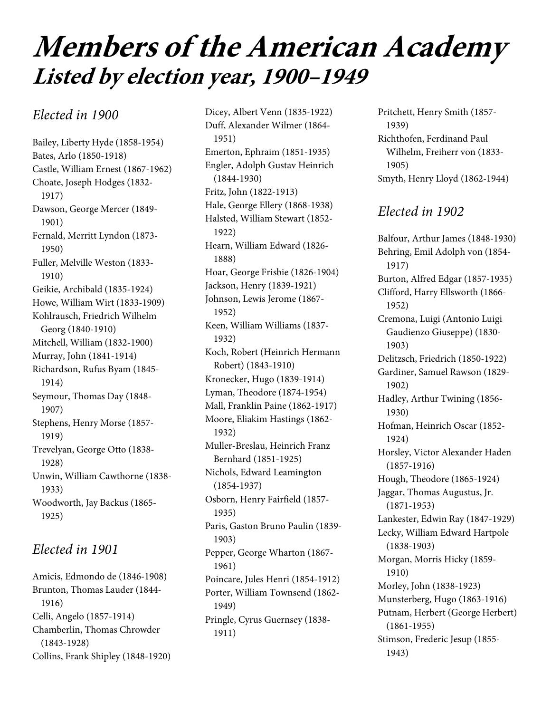# **Members of the American Academy Listed by election year, 1900–1949**

### Elected in 1900

Bailey, Liberty Hyde (1858-1954) Bates, Arlo (1850-1918) Castle, William Ernest (1867-1962) Choate, Joseph Hodges (1832- 1917) Dawson, George Mercer (1849- 1901) Fernald, Merritt Lyndon (1873- 1950) Fuller, Melville Weston (1833- 1910) Geikie, Archibald (1835-1924) Howe, William Wirt (1833-1909) Kohlrausch, Friedrich Wilhelm Georg (1840-1910) Mitchell, William (1832-1900) Murray, John (1841-1914) Richardson, Rufus Byam (1845- 1914) Seymour, Thomas Day (1848- 1907) Stephens, Henry Morse (1857- 1919) Trevelyan, George Otto (1838- 1928) Unwin, William Cawthorne (1838- 1933) Woodworth, Jay Backus (1865- 1925)

## Elected in 1901

Amicis, Edmondo de (1846-1908) Brunton, Thomas Lauder (1844- 1916) Celli, Angelo (1857-1914) Chamberlin, Thomas Chrowder (1843-1928) Collins, Frank Shipley (1848-1920)

Dicey, Albert Venn (1835-1922) Duff, Alexander Wilmer (1864- 1951) Emerton, Ephraim (1851-1935) Engler, Adolph Gustav Heinrich (1844-1930) Fritz, John (1822-1913) Hale, George Ellery (1868-1938) Halsted, William Stewart (1852- 1922) Hearn, William Edward (1826- 1888) Hoar, George Frisbie (1826-1904) Jackson, Henry (1839-1921) Johnson, Lewis Jerome (1867- 1952) Keen, William Williams (1837- 1932) Koch, Robert (Heinrich Hermann Robert) (1843-1910) Kronecker, Hugo (1839-1914) Lyman, Theodore (1874-1954) Mall, Franklin Paine (1862-1917) Moore, Eliakim Hastings (1862- 1932) Muller-Breslau, Heinrich Franz Bernhard (1851-1925) Nichols, Edward Leamington (1854-1937) Osborn, Henry Fairfield (1857- 1935) Paris, Gaston Bruno Paulin (1839- 1903) Pepper, George Wharton (1867- 1961) Poincare, Jules Henri (1854-1912) Porter, William Townsend (1862- 1949) Pringle, Cyrus Guernsey (1838- 1911)

Pritchett, Henry Smith (1857- 1939) Richthofen, Ferdinand Paul Wilhelm, Freiherr von (1833- 1905) Smyth, Henry Lloyd (1862-1944)

# Elected in 1902

Balfour, Arthur James (1848-1930) Behring, Emil Adolph von (1854- 1917) Burton, Alfred Edgar (1857-1935) Clifford, Harry Ellsworth (1866- 1952) Cremona, Luigi (Antonio Luigi Gaudienzo Giuseppe) (1830- 1903) Delitzsch, Friedrich (1850-1922) Gardiner, Samuel Rawson (1829- 1902) Hadley, Arthur Twining (1856- 1930) Hofman, Heinrich Oscar (1852- 1924) Horsley, Victor Alexander Haden (1857-1916) Hough, Theodore (1865-1924) Jaggar, Thomas Augustus, Jr. (1871-1953) Lankester, Edwin Ray (1847-1929) Lecky, William Edward Hartpole (1838-1903) Morgan, Morris Hicky (1859- 1910) Morley, John (1838-1923) Munsterberg, Hugo (1863-1916) Putnam, Herbert (George Herbert) (1861-1955) Stimson, Frederic Jesup (1855- 1943)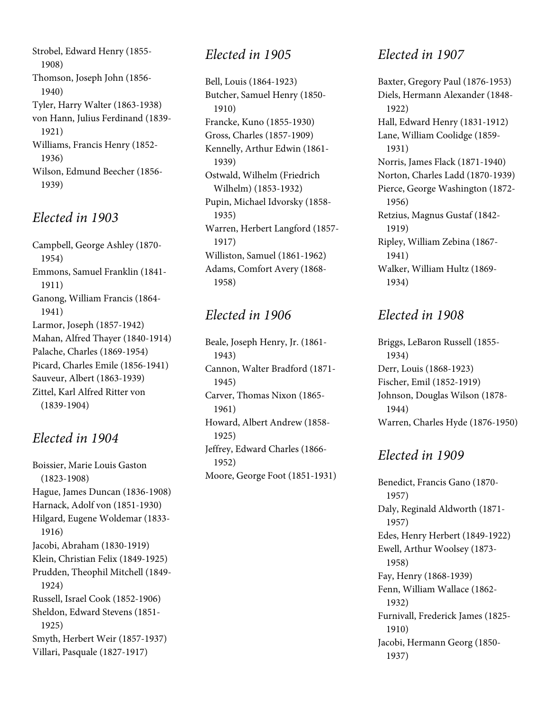Strobel, Edward Henry (1855- 1908) Thomson, Joseph John (1856- 1940) Tyler, Harry Walter (1863-1938) von Hann, Julius Ferdinand (1839- 1921) Williams, Francis Henry (1852- 1936) Wilson, Edmund Beecher (1856- 1939)

#### Elected in 1903

Campbell, George Ashley (1870- 1954) Emmons, Samuel Franklin (1841- 1911) Ganong, William Francis (1864- 1941) Larmor, Joseph (1857-1942) Mahan, Alfred Thayer (1840-1914) Palache, Charles (1869-1954) Picard, Charles Emile (1856-1941) Sauveur, Albert (1863-1939) Zittel, Karl Alfred Ritter von (1839-1904)

#### Elected in 1904

Boissier, Marie Louis Gaston (1823-1908) Hague, James Duncan (1836-1908) Harnack, Adolf von (1851-1930) Hilgard, Eugene Woldemar (1833- 1916) Jacobi, Abraham (1830-1919) Klein, Christian Felix (1849-1925) Prudden, Theophil Mitchell (1849- 1924) Russell, Israel Cook (1852-1906) Sheldon, Edward Stevens (1851- 1925) Smyth, Herbert Weir (1857-1937) Villari, Pasquale (1827-1917)

#### Elected in 1905

Bell, Louis (1864-1923) Butcher, Samuel Henry (1850- 1910) Francke, Kuno (1855-1930) Gross, Charles (1857-1909) Kennelly, Arthur Edwin (1861- 1939) Ostwald, Wilhelm (Friedrich Wilhelm) (1853-1932) Pupin, Michael Idvorsky (1858- 1935) Warren, Herbert Langford (1857- 1917) Williston, Samuel (1861-1962) Adams, Comfort Avery (1868- 1958)

## Elected in 1906

Beale, Joseph Henry, Jr. (1861- 1943) Cannon, Walter Bradford (1871- 1945) Carver, Thomas Nixon (1865- 1961) Howard, Albert Andrew (1858- 1925) Jeffrey, Edward Charles (1866- 1952) Moore, George Foot (1851-1931)

## Elected in 1907

Baxter, Gregory Paul (1876-1953) Diels, Hermann Alexander (1848- 1922) Hall, Edward Henry (1831-1912) Lane, William Coolidge (1859- 1931) Norris, James Flack (1871-1940) Norton, Charles Ladd (1870-1939) Pierce, George Washington (1872- 1956) Retzius, Magnus Gustaf (1842- 1919) Ripley, William Zebina (1867- 1941) Walker, William Hultz (1869- 1934)

## Elected in 1908

Briggs, LeBaron Russell (1855- 1934) Derr, Louis (1868-1923) Fischer, Emil (1852-1919) Johnson, Douglas Wilson (1878- 1944) Warren, Charles Hyde (1876-1950)

# Elected in 1909

Benedict, Francis Gano (1870- 1957) Daly, Reginald Aldworth (1871- 1957) Edes, Henry Herbert (1849-1922) Ewell, Arthur Woolsey (1873- 1958) Fay, Henry (1868-1939) Fenn, William Wallace (1862- 1932) Furnivall, Frederick James (1825- 1910) Jacobi, Hermann Georg (1850- 1937)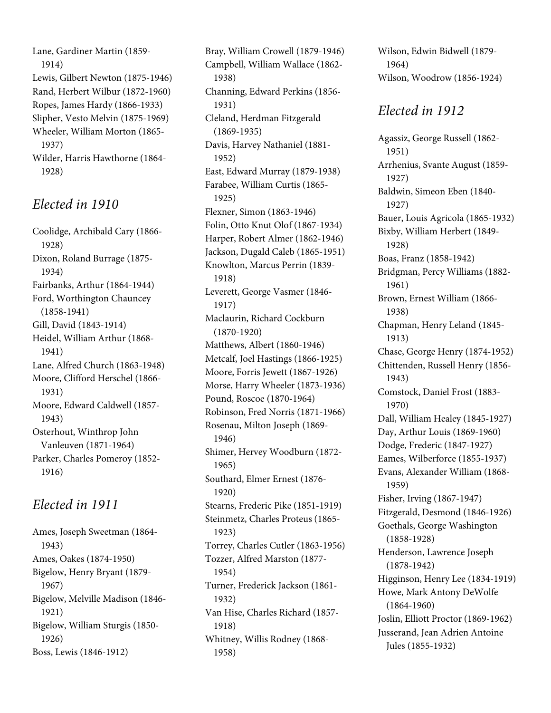Lane, Gardiner Martin (1859- 1914) Lewis, Gilbert Newton (1875-1946) Rand, Herbert Wilbur (1872-1960) Ropes, James Hardy (1866-1933) Slipher, Vesto Melvin (1875-1969) Wheeler, William Morton (1865- 1937) Wilder, Harris Hawthorne (1864- 1928)

#### Elected in 1910

Coolidge, Archibald Cary (1866- 1928) Dixon, Roland Burrage (1875- 1934) Fairbanks, Arthur (1864-1944) Ford, Worthington Chauncey (1858-1941) Gill, David (1843-1914) Heidel, William Arthur (1868- 1941) Lane, Alfred Church (1863-1948) Moore, Clifford Herschel (1866- 1931) Moore, Edward Caldwell (1857- 1943) Osterhout, Winthrop John Vanleuven (1871-1964) Parker, Charles Pomeroy (1852- 1916)

## Elected in 1911

Ames, Joseph Sweetman (1864- 1943) Ames, Oakes (1874-1950) Bigelow, Henry Bryant (1879- 1967) Bigelow, Melville Madison (1846- 1921) Bigelow, William Sturgis (1850- 1926) Boss, Lewis (1846-1912)

Bray, William Crowell (1879-1946) Campbell, William Wallace (1862- 1938) Channing, Edward Perkins (1856- 1931) Cleland, Herdman Fitzgerald (1869-1935) Davis, Harvey Nathaniel (1881- 1952) East, Edward Murray (1879-1938) Farabee, William Curtis (1865- 1925) Flexner, Simon (1863-1946) Folin, Otto Knut Olof (1867-1934) Harper, Robert Almer (1862-1946) Jackson, Dugald Caleb (1865-1951) Knowlton, Marcus Perrin (1839- 1918) Leverett, George Vasmer (1846- 1917) Maclaurin, Richard Cockburn (1870-1920) Matthews, Albert (1860-1946) Metcalf, Joel Hastings (1866-1925) Moore, Forris Jewett (1867-1926) Morse, Harry Wheeler (1873-1936) Pound, Roscoe (1870-1964) Robinson, Fred Norris (1871-1966) Rosenau, Milton Joseph (1869- 1946) Shimer, Hervey Woodburn (1872- 1965) Southard, Elmer Ernest (1876- 1920) Stearns, Frederic Pike (1851-1919) Steinmetz, Charles Proteus (1865- 1923) Torrey, Charles Cutler (1863-1956) Tozzer, Alfred Marston (1877- 1954) Turner, Frederick Jackson (1861- 1932) Van Hise, Charles Richard (1857- 1918) Whitney, Willis Rodney (1868- 1958)

Wilson, Edwin Bidwell (1879- 1964) Wilson, Woodrow (1856-1924)

## Elected in 1912

Agassiz, George Russell (1862- 1951) Arrhenius, Svante August (1859- 1927) Baldwin, Simeon Eben (1840- 1927) Bauer, Louis Agricola (1865-1932) Bixby, William Herbert (1849- 1928) Boas, Franz (1858-1942) Bridgman, Percy Williams (1882- 1961) Brown, Ernest William (1866- 1938) Chapman, Henry Leland (1845- 1913) Chase, George Henry (1874-1952) Chittenden, Russell Henry (1856- 1943) Comstock, Daniel Frost (1883- 1970) Dall, William Healey (1845-1927) Day, Arthur Louis (1869-1960) Dodge, Frederic (1847-1927) Eames, Wilberforce (1855-1937) Evans, Alexander William (1868- 1959) Fisher, Irving (1867-1947) Fitzgerald, Desmond (1846-1926) Goethals, George Washington (1858-1928) Henderson, Lawrence Joseph (1878-1942) Higginson, Henry Lee (1834-1919) Howe, Mark Antony DeWolfe (1864-1960) Joslin, Elliott Proctor (1869-1962) Jusserand, Jean Adrien Antoine Jules (1855-1932)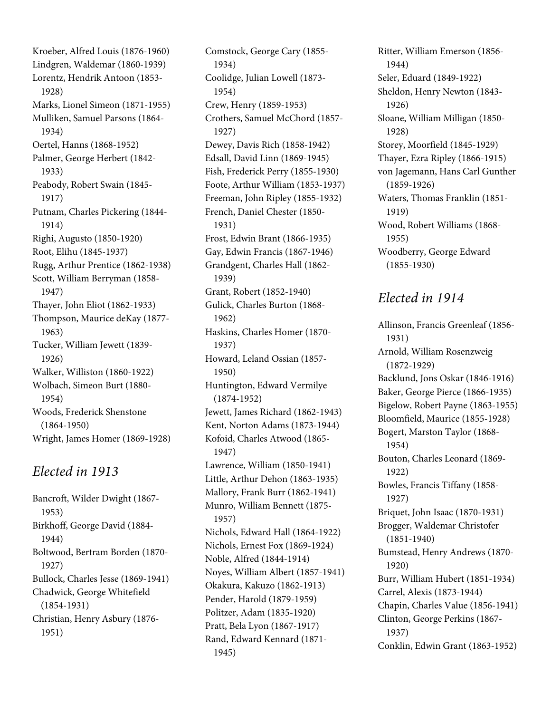Kroeber, Alfred Louis (1876-1960) Lindgren, Waldemar (1860-1939) Lorentz, Hendrik Antoon (1853- 1928) Marks, Lionel Simeon (1871-1955) Mulliken, Samuel Parsons (1864- 1934) Oertel, Hanns (1868-1952) Palmer, George Herbert (1842- 1933) Peabody, Robert Swain (1845- 1917) Putnam, Charles Pickering (1844- 1914) Righi, Augusto (1850-1920) Root, Elihu (1845-1937) Rugg, Arthur Prentice (1862-1938) Scott, William Berryman (1858- 1947) Thayer, John Eliot (1862-1933) Thompson, Maurice deKay (1877- 1963) Tucker, William Jewett (1839- 1926) Walker, Williston (1860-1922) Wolbach, Simeon Burt (1880- 1954) Woods, Frederick Shenstone (1864-1950) Wright, James Homer (1869-1928)

#### Elected in 1913

Bancroft, Wilder Dwight (1867- 1953) Birkhoff, George David (1884- 1944) Boltwood, Bertram Borden (1870- 1927) Bullock, Charles Jesse (1869-1941) Chadwick, George Whitefield (1854-1931) Christian, Henry Asbury (1876- 1951)

Comstock, George Cary (1855- 1934) Coolidge, Julian Lowell (1873- 1954) Crew, Henry (1859-1953) Crothers, Samuel McChord (1857- 1927) Dewey, Davis Rich (1858-1942) Edsall, David Linn (1869-1945) Fish, Frederick Perry (1855-1930) Foote, Arthur William (1853-1937) Freeman, John Ripley (1855-1932) French, Daniel Chester (1850- 1931) Frost, Edwin Brant (1866-1935) Gay, Edwin Francis (1867-1946) Grandgent, Charles Hall (1862- 1939) Grant, Robert (1852-1940) Gulick, Charles Burton (1868- 1962) Haskins, Charles Homer (1870- 1937) Howard, Leland Ossian (1857- 1950) Huntington, Edward Vermilye (1874-1952) Jewett, James Richard (1862-1943) Kent, Norton Adams (1873-1944) Kofoid, Charles Atwood (1865- 1947) Lawrence, William (1850-1941) Little, Arthur Dehon (1863-1935) Mallory, Frank Burr (1862-1941) Munro, William Bennett (1875- 1957) Nichols, Edward Hall (1864-1922) Nichols, Ernest Fox (1869-1924) Noble, Alfred (1844-1914) Noyes, William Albert (1857-1941) Okakura, Kakuzo (1862-1913) Pender, Harold (1879-1959) Politzer, Adam (1835-1920) Pratt, Bela Lyon (1867-1917) Rand, Edward Kennard (1871- 1945)

Ritter, William Emerson (1856- 1944) Seler, Eduard (1849-1922) Sheldon, Henry Newton (1843- 1926) Sloane, William Milligan (1850- 1928) Storey, Moorfield (1845-1929) Thayer, Ezra Ripley (1866-1915) von Jagemann, Hans Carl Gunther (1859-1926) Waters, Thomas Franklin (1851- 1919) Wood, Robert Williams (1868- 1955) Woodberry, George Edward (1855-1930)

#### Elected in 1914

Allinson, Francis Greenleaf (1856- 1931) Arnold, William Rosenzweig (1872-1929) Backlund, Jons Oskar (1846-1916) Baker, George Pierce (1866-1935) Bigelow, Robert Payne (1863-1955) Bloomfield, Maurice (1855-1928) Bogert, Marston Taylor (1868- 1954) Bouton, Charles Leonard (1869- 1922) Bowles, Francis Tiffany (1858- 1927) Briquet, John Isaac (1870-1931) Brogger, Waldemar Christofer (1851-1940) Bumstead, Henry Andrews (1870- 1920) Burr, William Hubert (1851-1934) Carrel, Alexis (1873-1944) Chapin, Charles Value (1856-1941) Clinton, George Perkins (1867- 1937) Conklin, Edwin Grant (1863-1952)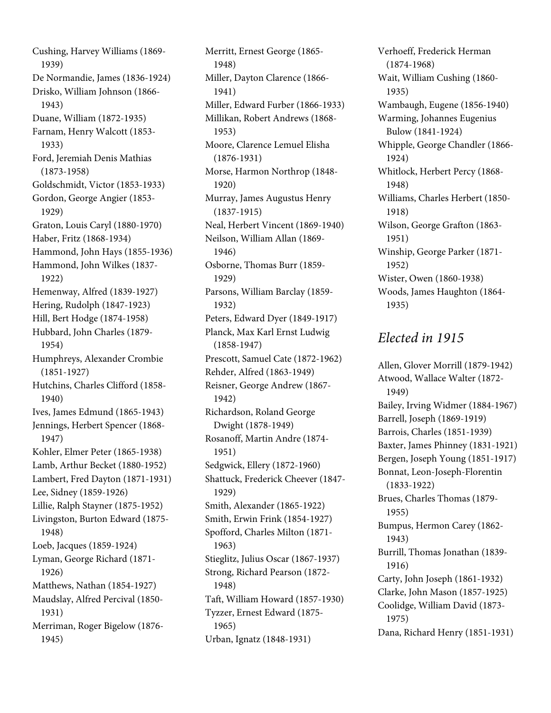Cushing, Harvey Williams (1869- 1939) De Normandie, James (1836-1924) Drisko, William Johnson (1866- 1943) Duane, William (1872-1935) Farnam, Henry Walcott (1853- 1933) Ford, Jeremiah Denis Mathias (1873-1958) Goldschmidt, Victor (1853-1933) Gordon, George Angier (1853- 1929) Graton, Louis Caryl (1880-1970) Haber, Fritz (1868-1934) Hammond, John Hays (1855-1936) Hammond, John Wilkes (1837- 1922) Hemenway, Alfred (1839-1927) Hering, Rudolph (1847-1923) Hill, Bert Hodge (1874-1958) Hubbard, John Charles (1879- 1954) Humphreys, Alexander Crombie (1851-1927) Hutchins, Charles Clifford (1858- 1940) Ives, James Edmund (1865-1943) Jennings, Herbert Spencer (1868- 1947) Kohler, Elmer Peter (1865-1938) Lamb, Arthur Becket (1880-1952) Lambert, Fred Dayton (1871-1931) Lee, Sidney (1859-1926) Lillie, Ralph Stayner (1875-1952) Livingston, Burton Edward (1875- 1948) Loeb, Jacques (1859-1924) Lyman, George Richard (1871- 1926) Matthews, Nathan (1854-1927) Maudslay, Alfred Percival (1850- 1931) Merriman, Roger Bigelow (1876- 1945)

Merritt, Ernest George (1865- 1948) Miller, Dayton Clarence (1866- 1941) Miller, Edward Furber (1866-1933) Millikan, Robert Andrews (1868- 1953) Moore, Clarence Lemuel Elisha (1876-1931) Morse, Harmon Northrop (1848- 1920) Murray, James Augustus Henry (1837-1915) Neal, Herbert Vincent (1869-1940) Neilson, William Allan (1869- 1946) Osborne, Thomas Burr (1859- 1929) Parsons, William Barclay (1859- 1932) Peters, Edward Dyer (1849-1917) Planck, Max Karl Ernst Ludwig (1858-1947) Prescott, Samuel Cate (1872-1962) Rehder, Alfred (1863-1949) Reisner, George Andrew (1867- 1942) Richardson, Roland George Dwight (1878-1949) Rosanoff, Martin Andre (1874- 1951) Sedgwick, Ellery (1872-1960) Shattuck, Frederick Cheever (1847- 1929) Smith, Alexander (1865-1922) Smith, Erwin Frink (1854-1927) Spofford, Charles Milton (1871- 1963) Stieglitz, Julius Oscar (1867-1937) Strong, Richard Pearson (1872- 1948) Taft, William Howard (1857-1930) Tyzzer, Ernest Edward (1875- 1965) Urban, Ignatz (1848-1931)

Verhoeff, Frederick Herman (1874-1968) Wait, William Cushing (1860- 1935) Wambaugh, Eugene (1856-1940) Warming, Johannes Eugenius Bulow (1841-1924) Whipple, George Chandler (1866- 1924) Whitlock, Herbert Percy (1868- 1948) Williams, Charles Herbert (1850- 1918) Wilson, George Grafton (1863- 1951) Winship, George Parker (1871- 1952) Wister, Owen (1860-1938) Woods, James Haughton (1864- 1935)

#### Elected in 1915

Allen, Glover Morrill (1879-1942) Atwood, Wallace Walter (1872- 1949) Bailey, Irving Widmer (1884-1967) Barrell, Joseph (1869-1919) Barrois, Charles (1851-1939) Baxter, James Phinney (1831-1921) Bergen, Joseph Young (1851-1917) Bonnat, Leon-Joseph-Florentin (1833-1922) Brues, Charles Thomas (1879- 1955) Bumpus, Hermon Carey (1862- 1943) Burrill, Thomas Jonathan (1839- 1916) Carty, John Joseph (1861-1932) Clarke, John Mason (1857-1925) Coolidge, William David (1873- 1975) Dana, Richard Henry (1851-1931)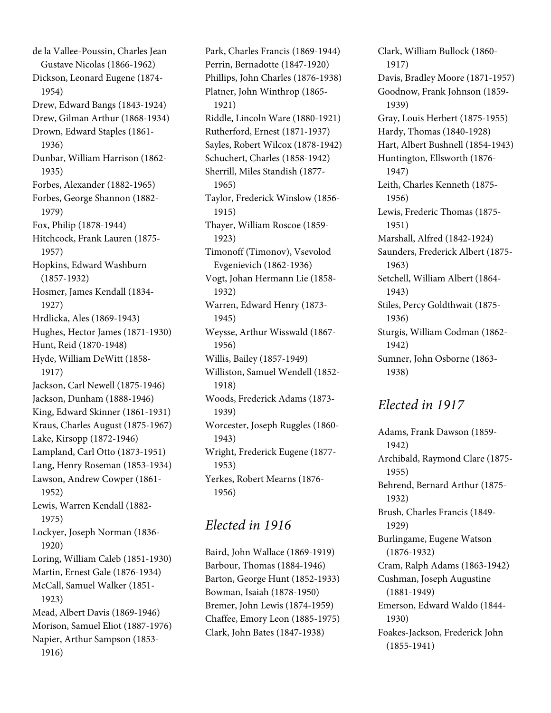de la Vallee-Poussin, Charles Jean Gustave Nicolas (1866-1962) Dickson, Leonard Eugene (1874- 1954) Drew, Edward Bangs (1843-1924) Drew, Gilman Arthur (1868-1934) Drown, Edward Staples (1861- 1936) Dunbar, William Harrison (1862- 1935) Forbes, Alexander (1882-1965) Forbes, George Shannon (1882- 1979) Fox, Philip (1878-1944) Hitchcock, Frank Lauren (1875- 1957) Hopkins, Edward Washburn (1857-1932) Hosmer, James Kendall (1834- 1927) Hrdlicka, Ales (1869-1943) Hughes, Hector James (1871-1930) Hunt, Reid (1870-1948) Hyde, William DeWitt (1858- 1917) Jackson, Carl Newell (1875-1946) Jackson, Dunham (1888-1946) King, Edward Skinner (1861-1931) Kraus, Charles August (1875-1967) Lake, Kirsopp (1872-1946) Lampland, Carl Otto (1873-1951) Lang, Henry Roseman (1853-1934) Lawson, Andrew Cowper (1861- 1952) Lewis, Warren Kendall (1882- 1975) Lockyer, Joseph Norman (1836- 1920) Loring, William Caleb (1851-1930) Martin, Ernest Gale (1876-1934) McCall, Samuel Walker (1851- 1923) Mead, Albert Davis (1869-1946) Morison, Samuel Eliot (1887-1976) Napier, Arthur Sampson (1853- 1916)

Park, Charles Francis (1869-1944) Perrin, Bernadotte (1847-1920) Phillips, John Charles (1876-1938) Platner, John Winthrop (1865- 1921) Riddle, Lincoln Ware (1880-1921) Rutherford, Ernest (1871-1937) Sayles, Robert Wilcox (1878-1942) Schuchert, Charles (1858-1942) Sherrill, Miles Standish (1877- 1965) Taylor, Frederick Winslow (1856- 1915) Thayer, William Roscoe (1859- 1923) Timonoff (Timonov), Vsevolod Evgenievich (1862-1936) Vogt, Johan Hermann Lie (1858- 1932) Warren, Edward Henry (1873- 1945) Weysse, Arthur Wisswald (1867- 1956) Willis, Bailey (1857-1949) Williston, Samuel Wendell (1852- 1918) Woods, Frederick Adams (1873- 1939) Worcester, Joseph Ruggles (1860- 1943) Wright, Frederick Eugene (1877- 1953) Yerkes, Robert Mearns (1876- 1956)

#### Elected in 1916

Baird, John Wallace (1869-1919) Barbour, Thomas (1884-1946) Barton, George Hunt (1852-1933) Bowman, Isaiah (1878-1950) Bremer, John Lewis (1874-1959) Chaffee, Emory Leon (1885-1975) Clark, John Bates (1847-1938)

Clark, William Bullock (1860- 1917) Davis, Bradley Moore (1871-1957) Goodnow, Frank Johnson (1859- 1939) Gray, Louis Herbert (1875-1955) Hardy, Thomas (1840-1928) Hart, Albert Bushnell (1854-1943) Huntington, Ellsworth (1876- 1947) Leith, Charles Kenneth (1875- 1956) Lewis, Frederic Thomas (1875- 1951) Marshall, Alfred (1842-1924) Saunders, Frederick Albert (1875- 1963) Setchell, William Albert (1864- 1943) Stiles, Percy Goldthwait (1875- 1936) Sturgis, William Codman (1862- 1942) Sumner, John Osborne (1863- 1938)

#### Elected in 1917

Adams, Frank Dawson (1859- 1942) Archibald, Raymond Clare (1875- 1955) Behrend, Bernard Arthur (1875- 1932) Brush, Charles Francis (1849- 1929) Burlingame, Eugene Watson (1876-1932) Cram, Ralph Adams (1863-1942) Cushman, Joseph Augustine (1881-1949) Emerson, Edward Waldo (1844- 1930) Foakes-Jackson, Frederick John (1855-1941)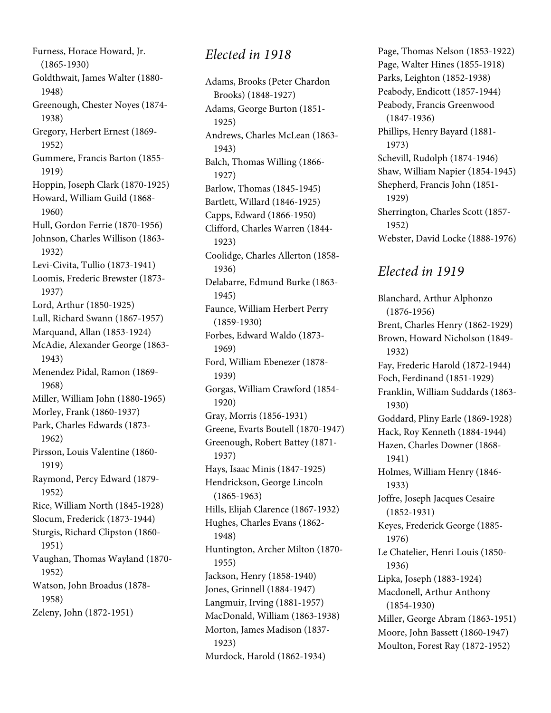Furness, Horace Howard, Jr. (1865-1930) Goldthwait, James Walter (1880- 1948) Greenough, Chester Noyes (1874- 1938) Gregory, Herbert Ernest (1869- 1952) Gummere, Francis Barton (1855- 1919) Hoppin, Joseph Clark (1870-1925) Howard, William Guild (1868- 1960) Hull, Gordon Ferrie (1870-1956) Johnson, Charles Willison (1863- 1932) Levi-Civita, Tullio (1873-1941) Loomis, Frederic Brewster (1873- 1937) Lord, Arthur (1850-1925) Lull, Richard Swann (1867-1957) Marquand, Allan (1853-1924) McAdie, Alexander George (1863- 1943) Menendez Pidal, Ramon (1869- 1968) Miller, William John (1880-1965) Morley, Frank (1860-1937) Park, Charles Edwards (1873- 1962) Pirsson, Louis Valentine (1860- 1919) Raymond, Percy Edward (1879- 1952) Rice, William North (1845-1928) Slocum, Frederick (1873-1944) Sturgis, Richard Clipston (1860- 1951) Vaughan, Thomas Wayland (1870- 1952) Watson, John Broadus (1878- 1958) Zeleny, John (1872-1951)

## Elected in 1918

Adams, Brooks (Peter Chardon Brooks) (1848-1927) Adams, George Burton (1851- 1925) Andrews, Charles McLean (1863- 1943) Balch, Thomas Willing (1866- 1927) Barlow, Thomas (1845-1945) Bartlett, Willard (1846-1925) Capps, Edward (1866-1950) Clifford, Charles Warren (1844- 1923) Coolidge, Charles Allerton (1858- 1936) Delabarre, Edmund Burke (1863- 1945) Faunce, William Herbert Perry (1859-1930) Forbes, Edward Waldo (1873- 1969) Ford, William Ebenezer (1878- 1939) Gorgas, William Crawford (1854- 1920) Gray, Morris (1856-1931) Greene, Evarts Boutell (1870-1947) Greenough, Robert Battey (1871- 1937) Hays, Isaac Minis (1847-1925) Hendrickson, George Lincoln (1865-1963) Hills, Elijah Clarence (1867-1932) Hughes, Charles Evans (1862- 1948) Huntington, Archer Milton (1870- 1955) Jackson, Henry (1858-1940) Jones, Grinnell (1884-1947) Langmuir, Irving (1881-1957) MacDonald, William (1863-1938) Morton, James Madison (1837- 1923) Murdock, Harold (1862-1934)

Page, Thomas Nelson (1853-1922) Page, Walter Hines (1855-1918) Parks, Leighton (1852-1938) Peabody, Endicott (1857-1944) Peabody, Francis Greenwood (1847-1936) Phillips, Henry Bayard (1881- 1973) Schevill, Rudolph (1874-1946) Shaw, William Napier (1854-1945) Shepherd, Francis John (1851- 1929) Sherrington, Charles Scott (1857- 1952) Webster, David Locke (1888-1976)

# Elected in 1919

Blanchard, Arthur Alphonzo (1876-1956) Brent, Charles Henry (1862-1929) Brown, Howard Nicholson (1849- 1932) Fay, Frederic Harold (1872-1944) Foch, Ferdinand (1851-1929) Franklin, William Suddards (1863- 1930) Goddard, Pliny Earle (1869-1928) Hack, Roy Kenneth (1884-1944) Hazen, Charles Downer (1868- 1941) Holmes, William Henry (1846- 1933) Joffre, Joseph Jacques Cesaire (1852-1931) Keyes, Frederick George (1885- 1976) Le Chatelier, Henri Louis (1850- 1936) Lipka, Joseph (1883-1924) Macdonell, Arthur Anthony (1854-1930) Miller, George Abram (1863-1951) Moore, John Bassett (1860-1947) Moulton, Forest Ray (1872-1952)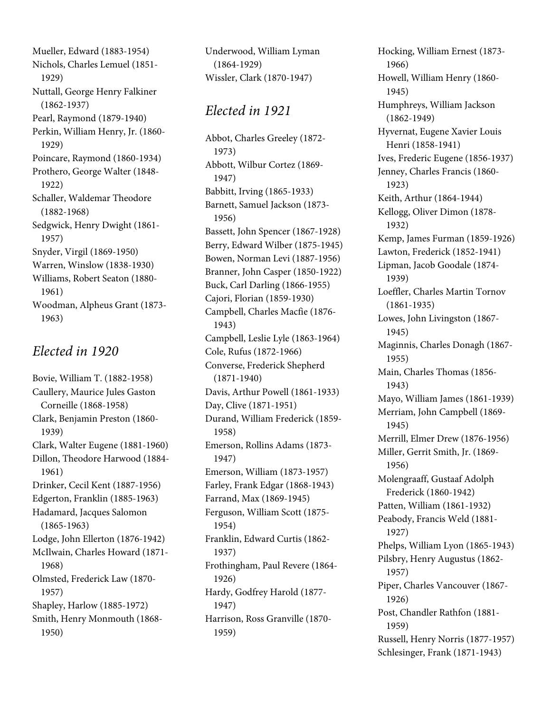Mueller, Edward (1883-1954) Nichols, Charles Lemuel (1851- 1929) Nuttall, George Henry Falkiner (1862-1937) Pearl, Raymond (1879-1940) Perkin, William Henry, Jr. (1860- 1929) Poincare, Raymond (1860-1934) Prothero, George Walter (1848- 1922) Schaller, Waldemar Theodore (1882-1968) Sedgwick, Henry Dwight (1861- 1957) Snyder, Virgil (1869-1950) Warren, Winslow (1838-1930) Williams, Robert Seaton (1880- 1961) Woodman, Alpheus Grant (1873- 1963)

#### Elected in 1920

Bovie, William T. (1882-1958) Caullery, Maurice Jules Gaston Corneille (1868-1958) Clark, Benjamin Preston (1860- 1939) Clark, Walter Eugene (1881-1960) Dillon, Theodore Harwood (1884- 1961) Drinker, Cecil Kent (1887-1956) Edgerton, Franklin (1885-1963) Hadamard, Jacques Salomon (1865-1963) Lodge, John Ellerton (1876-1942) McIlwain, Charles Howard (1871- 1968) Olmsted, Frederick Law (1870- 1957) Shapley, Harlow (1885-1972) Smith, Henry Monmouth (1868- 1950)

Underwood, William Lyman (1864-1929) Wissler, Clark (1870-1947)

#### Elected in 1921

Abbot, Charles Greeley (1872- 1973) Abbott, Wilbur Cortez (1869- 1947) Babbitt, Irving (1865-1933) Barnett, Samuel Jackson (1873- 1956) Bassett, John Spencer (1867-1928) Berry, Edward Wilber (1875-1945) Bowen, Norman Levi (1887-1956) Branner, John Casper (1850-1922) Buck, Carl Darling (1866-1955) Cajori, Florian (1859-1930) Campbell, Charles Macfie (1876- 1943) Campbell, Leslie Lyle (1863-1964) Cole, Rufus (1872-1966) Converse, Frederick Shepherd (1871-1940) Davis, Arthur Powell (1861-1933) Day, Clive (1871-1951) Durand, William Frederick (1859- 1958) Emerson, Rollins Adams (1873- 1947) Emerson, William (1873-1957) Farley, Frank Edgar (1868-1943) Farrand, Max (1869-1945) Ferguson, William Scott (1875- 1954) Franklin, Edward Curtis (1862- 1937) Frothingham, Paul Revere (1864- 1926) Hardy, Godfrey Harold (1877- 1947) Harrison, Ross Granville (1870- 1959)

Hocking, William Ernest (1873- 1966) Howell, William Henry (1860- 1945) Humphreys, William Jackson (1862-1949) Hyvernat, Eugene Xavier Louis Henri (1858-1941) Ives, Frederic Eugene (1856-1937) Jenney, Charles Francis (1860- 1923) Keith, Arthur (1864-1944) Kellogg, Oliver Dimon (1878- 1932) Kemp, James Furman (1859-1926) Lawton, Frederick (1852-1941) Lipman, Jacob Goodale (1874- 1939) Loeffler, Charles Martin Tornov (1861-1935) Lowes, John Livingston (1867- 1945) Maginnis, Charles Donagh (1867- 1955) Main, Charles Thomas (1856- 1943) Mayo, William James (1861-1939) Merriam, John Campbell (1869- 1945) Merrill, Elmer Drew (1876-1956) Miller, Gerrit Smith, Jr. (1869- 1956) Molengraaff, Gustaaf Adolph Frederick (1860-1942) Patten, William (1861-1932) Peabody, Francis Weld (1881- 1927) Phelps, William Lyon (1865-1943) Pilsbry, Henry Augustus (1862- 1957) Piper, Charles Vancouver (1867- 1926) Post, Chandler Rathfon (1881- 1959) Russell, Henry Norris (1877-1957) Schlesinger, Frank (1871-1943)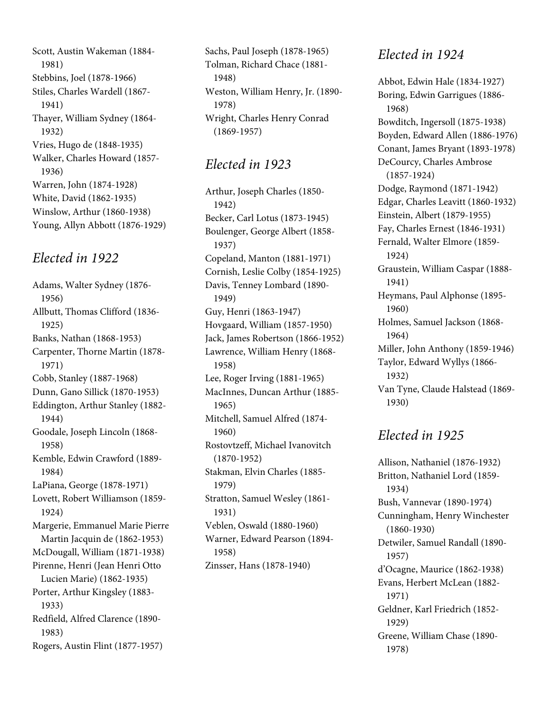Scott, Austin Wakeman (1884- 1981) Stebbins, Joel (1878-1966) Stiles, Charles Wardell (1867- 1941) Thayer, William Sydney (1864- 1932) Vries, Hugo de (1848-1935) Walker, Charles Howard (1857- 1936) Warren, John (1874-1928) White, David (1862-1935) Winslow, Arthur (1860-1938) Young, Allyn Abbott (1876-1929)

## Elected in 1922

Adams, Walter Sydney (1876- 1956) Allbutt, Thomas Clifford (1836- 1925) Banks, Nathan (1868-1953) Carpenter, Thorne Martin (1878- 1971) Cobb, Stanley (1887-1968) Dunn, Gano Sillick (1870-1953) Eddington, Arthur Stanley (1882- 1944) Goodale, Joseph Lincoln (1868- 1958) Kemble, Edwin Crawford (1889- 1984) LaPiana, George (1878-1971) Lovett, Robert Williamson (1859- 1924) Margerie, Emmanuel Marie Pierre Martin Jacquin de (1862-1953) McDougall, William (1871-1938) Pirenne, Henri (Jean Henri Otto Lucien Marie) (1862-1935) Porter, Arthur Kingsley (1883- 1933) Redfield, Alfred Clarence (1890- 1983) Rogers, Austin Flint (1877-1957)

Sachs, Paul Joseph (1878-1965) Tolman, Richard Chace (1881- 1948) Weston, William Henry, Jr. (1890- 1978) Wright, Charles Henry Conrad (1869-1957)

## Elected in 1923

Arthur, Joseph Charles (1850- 1942) Becker, Carl Lotus (1873-1945) Boulenger, George Albert (1858- 1937) Copeland, Manton (1881-1971) Cornish, Leslie Colby (1854-1925) Davis, Tenney Lombard (1890- 1949) Guy, Henri (1863-1947) Hovgaard, William (1857-1950) Jack, James Robertson (1866-1952) Lawrence, William Henry (1868- 1958) Lee, Roger Irving (1881-1965) MacInnes, Duncan Arthur (1885- 1965) Mitchell, Samuel Alfred (1874- 1960) Rostovtzeff, Michael Ivanovitch (1870-1952) Stakman, Elvin Charles (1885- 1979) Stratton, Samuel Wesley (1861- 1931) Veblen, Oswald (1880-1960) Warner, Edward Pearson (1894- 1958) Zinsser, Hans (1878-1940)

## Elected in 1924

Abbot, Edwin Hale (1834-1927) Boring, Edwin Garrigues (1886- 1968) Bowditch, Ingersoll (1875-1938) Boyden, Edward Allen (1886-1976) Conant, James Bryant (1893-1978) DeCourcy, Charles Ambrose (1857-1924) Dodge, Raymond (1871-1942) Edgar, Charles Leavitt (1860-1932) Einstein, Albert (1879-1955) Fay, Charles Ernest (1846-1931) Fernald, Walter Elmore (1859- 1924) Graustein, William Caspar (1888- 1941) Heymans, Paul Alphonse (1895- 1960) Holmes, Samuel Jackson (1868- 1964) Miller, John Anthony (1859-1946) Taylor, Edward Wyllys (1866- 1932) Van Tyne, Claude Halstead (1869- 1930)

# Elected in 1925

Allison, Nathaniel (1876-1932) Britton, Nathaniel Lord (1859- 1934) Bush, Vannevar (1890-1974) Cunningham, Henry Winchester (1860-1930) Detwiler, Samuel Randall (1890- 1957) d'Ocagne, Maurice (1862-1938) Evans, Herbert McLean (1882- 1971) Geldner, Karl Friedrich (1852- 1929) Greene, William Chase (1890- 1978)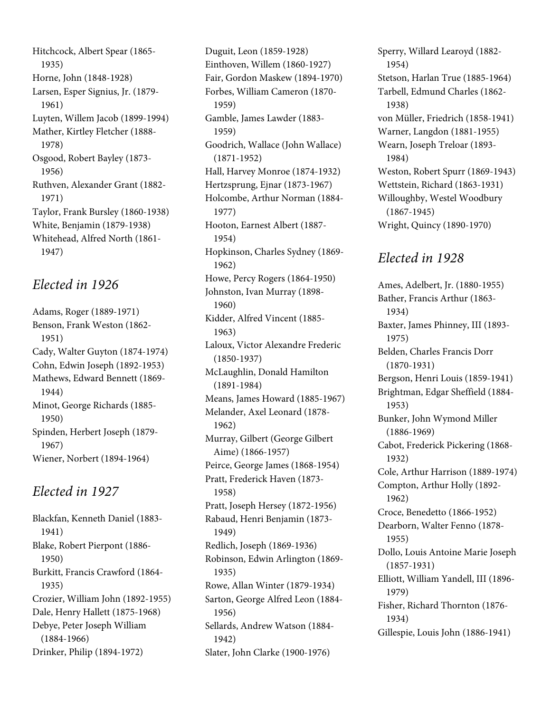Hitchcock, Albert Spear (1865- 1935) Horne, John (1848-1928) Larsen, Esper Signius, Jr. (1879- 1961) Luyten, Willem Jacob (1899-1994) Mather, Kirtley Fletcher (1888- 1978) Osgood, Robert Bayley (1873- 1956) Ruthven, Alexander Grant (1882- 1971) Taylor, Frank Bursley (1860-1938) White, Benjamin (1879-1938) Whitehead, Alfred North (1861- 1947)

#### Elected in 1926

Adams, Roger (1889-1971) Benson, Frank Weston (1862- 1951) Cady, Walter Guyton (1874-1974) Cohn, Edwin Joseph (1892-1953) Mathews, Edward Bennett (1869- 1944) Minot, George Richards (1885- 1950) Spinden, Herbert Joseph (1879- 1967) Wiener, Norbert (1894-1964)

# Elected in 1927

Blackfan, Kenneth Daniel (1883- 1941) Blake, Robert Pierpont (1886- 1950) Burkitt, Francis Crawford (1864- 1935) Crozier, William John (1892-1955) Dale, Henry Hallett (1875-1968) Debye, Peter Joseph William (1884-1966) Drinker, Philip (1894-1972)

Duguit, Leon (1859-1928) Einthoven, Willem (1860-1927) Fair, Gordon Maskew (1894-1970) Forbes, William Cameron (1870- 1959) Gamble, James Lawder (1883- 1959) Goodrich, Wallace (John Wallace) (1871-1952) Hall, Harvey Monroe (1874-1932) Hertzsprung, Ejnar (1873-1967) Holcombe, Arthur Norman (1884- 1977) Hooton, Earnest Albert (1887- 1954) Hopkinson, Charles Sydney (1869- 1962) Howe, Percy Rogers (1864-1950) Johnston, Ivan Murray (1898- 1960) Kidder, Alfred Vincent (1885- 1963) Laloux, Victor Alexandre Frederic (1850-1937) McLaughlin, Donald Hamilton (1891-1984) Means, James Howard (1885-1967) Melander, Axel Leonard (1878- 1962) Murray, Gilbert (George Gilbert Aime) (1866-1957) Peirce, George James (1868-1954) Pratt, Frederick Haven (1873- 1958) Pratt, Joseph Hersey (1872-1956) Rabaud, Henri Benjamin (1873- 1949) Redlich, Joseph (1869-1936) Robinson, Edwin Arlington (1869- 1935) Rowe, Allan Winter (1879-1934) Sarton, George Alfred Leon (1884- 1956) Sellards, Andrew Watson (1884- 1942) Slater, John Clarke (1900-1976)

Sperry, Willard Learoyd (1882- 1954) Stetson, Harlan True (1885-1964) Tarbell, Edmund Charles (1862- 1938) von Müller, Friedrich (1858-1941) Warner, Langdon (1881-1955) Wearn, Joseph Treloar (1893- 1984) Weston, Robert Spurr (1869-1943) Wettstein, Richard (1863-1931) Willoughby, Westel Woodbury (1867-1945) Wright, Quincy (1890-1970)

# Elected in 1928

Ames, Adelbert, Jr. (1880-1955) Bather, Francis Arthur (1863- 1934) Baxter, James Phinney, III (1893- 1975) Belden, Charles Francis Dorr (1870-1931) Bergson, Henri Louis (1859-1941) Brightman, Edgar Sheffield (1884- 1953) Bunker, John Wymond Miller (1886-1969) Cabot, Frederick Pickering (1868- 1932) Cole, Arthur Harrison (1889-1974) Compton, Arthur Holly (1892- 1962) Croce, Benedetto (1866-1952) Dearborn, Walter Fenno (1878- 1955) Dollo, Louis Antoine Marie Joseph (1857-1931) Elliott, William Yandell, III (1896- 1979) Fisher, Richard Thornton (1876- 1934) Gillespie, Louis John (1886-1941)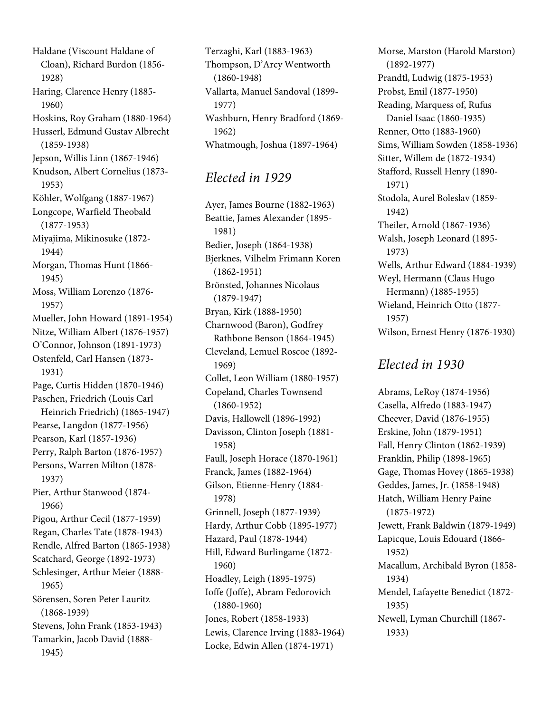Haldane (Viscount Haldane of Cloan), Richard Burdon (1856- 1928) Haring, Clarence Henry (1885- 1960) Hoskins, Roy Graham (1880-1964) Husserl, Edmund Gustav Albrecht (1859-1938) Jepson, Willis Linn (1867-1946) Knudson, Albert Cornelius (1873- 1953) Köhler, Wolfgang (1887-1967) Longcope, Warfield Theobald (1877-1953) Miyajima, Mikinosuke (1872- 1944) Morgan, Thomas Hunt (1866- 1945) Moss, William Lorenzo (1876- 1957) Mueller, John Howard (1891-1954) Nitze, William Albert (1876-1957) O'Connor, Johnson (1891-1973) Ostenfeld, Carl Hansen (1873- 1931) Page, Curtis Hidden (1870-1946) Paschen, Friedrich (Louis Carl Heinrich Friedrich) (1865-1947) Pearse, Langdon (1877-1956) Pearson, Karl (1857-1936) Perry, Ralph Barton (1876-1957) Persons, Warren Milton (1878- 1937) Pier, Arthur Stanwood (1874- 1966) Pigou, Arthur Cecil (1877-1959) Regan, Charles Tate (1878-1943) Rendle, Alfred Barton (1865-1938) Scatchard, George (1892-1973) Schlesinger, Arthur Meier (1888- 1965) Sörensen, Soren Peter Lauritz (1868-1939) Stevens, John Frank (1853-1943) Tamarkin, Jacob David (1888- 1945)

Terzaghi, Karl (1883-1963) Thompson, D'Arcy Wentworth (1860-1948) Vallarta, Manuel Sandoval (1899- 1977) Washburn, Henry Bradford (1869- 1962) Whatmough, Joshua (1897-1964)

#### Elected in 1929

Ayer, James Bourne (1882-1963) Beattie, James Alexander (1895- 1981) Bedier, Joseph (1864-1938) Bjerknes, Vilhelm Frimann Koren (1862-1951) Brönsted, Johannes Nicolaus (1879-1947) Bryan, Kirk (1888-1950) Charnwood (Baron), Godfrey Rathbone Benson (1864-1945) Cleveland, Lemuel Roscoe (1892- 1969) Collet, Leon William (1880-1957) Copeland, Charles Townsend (1860-1952) Davis, Hallowell (1896-1992) Davisson, Clinton Joseph (1881- 1958) Faull, Joseph Horace (1870-1961) Franck, James (1882-1964) Gilson, Etienne-Henry (1884- 1978) Grinnell, Joseph (1877-1939) Hardy, Arthur Cobb (1895-1977) Hazard, Paul (1878-1944) Hill, Edward Burlingame (1872- 1960) Hoadley, Leigh (1895-1975) Ioffe (Joffe), Abram Fedorovich (1880-1960) Jones, Robert (1858-1933) Lewis, Clarence Irving (1883-1964) Locke, Edwin Allen (1874-1971)

Morse, Marston (Harold Marston) (1892-1977) Prandtl, Ludwig (1875-1953) Probst, Emil (1877-1950) Reading, Marquess of, Rufus Daniel Isaac (1860-1935) Renner, Otto (1883-1960) Sims, William Sowden (1858-1936) Sitter, Willem de (1872-1934) Stafford, Russell Henry (1890- 1971) Stodola, Aurel Boleslav (1859- 1942) Theiler, Arnold (1867-1936) Walsh, Joseph Leonard (1895- 1973) Wells, Arthur Edward (1884-1939) Weyl, Hermann (Claus Hugo Hermann) (1885-1955) Wieland, Heinrich Otto (1877- 1957) Wilson, Ernest Henry (1876-1930)

## Elected in 1930

Abrams, LeRoy (1874-1956) Casella, Alfredo (1883-1947) Cheever, David (1876-1955) Erskine, John (1879-1951) Fall, Henry Clinton (1862-1939) Franklin, Philip (1898-1965) Gage, Thomas Hovey (1865-1938) Geddes, James, Jr. (1858-1948) Hatch, William Henry Paine (1875-1972) Jewett, Frank Baldwin (1879-1949) Lapicque, Louis Edouard (1866- 1952) Macallum, Archibald Byron (1858- 1934) Mendel, Lafayette Benedict (1872- 1935) Newell, Lyman Churchill (1867- 1933)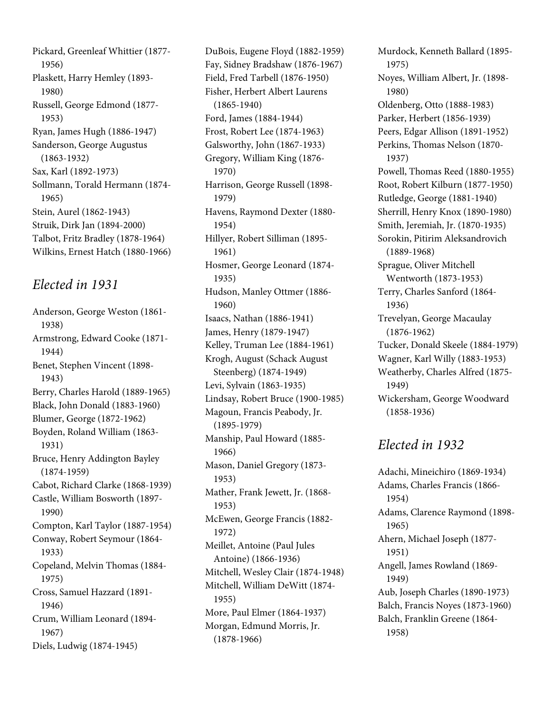Pickard, Greenleaf Whittier (1877- 1956) Plaskett, Harry Hemley (1893- 1980) Russell, George Edmond (1877- 1953) Ryan, James Hugh (1886-1947) Sanderson, George Augustus (1863-1932) Sax, Karl (1892-1973) Sollmann, Torald Hermann (1874- 1965) Stein, Aurel (1862-1943) Struik, Dirk Jan (1894-2000) Talbot, Fritz Bradley (1878-1964) Wilkins, Ernest Hatch (1880-1966)

## Elected in 1931

Anderson, George Weston (1861- 1938) Armstrong, Edward Cooke (1871- 1944) Benet, Stephen Vincent (1898- 1943) Berry, Charles Harold (1889-1965) Black, John Donald (1883-1960) Blumer, George (1872-1962) Boyden, Roland William (1863- 1931) Bruce, Henry Addington Bayley (1874-1959) Cabot, Richard Clarke (1868-1939) Castle, William Bosworth (1897- 1990) Compton, Karl Taylor (1887-1954) Conway, Robert Seymour (1864- 1933) Copeland, Melvin Thomas (1884- 1975) Cross, Samuel Hazzard (1891- 1946) Crum, William Leonard (1894- 1967)

Diels, Ludwig (1874-1945)

DuBois, Eugene Floyd (1882-1959) Fay, Sidney Bradshaw (1876-1967) Field, Fred Tarbell (1876-1950) Fisher, Herbert Albert Laurens (1865-1940) Ford, James (1884-1944) Frost, Robert Lee (1874-1963) Galsworthy, John (1867-1933) Gregory, William King (1876- 1970) Harrison, George Russell (1898- 1979) Havens, Raymond Dexter (1880- 1954) Hillyer, Robert Silliman (1895- 1961) Hosmer, George Leonard (1874- 1935) Hudson, Manley Ottmer (1886- 1960) Isaacs, Nathan (1886-1941) James, Henry (1879-1947) Kelley, Truman Lee (1884-1961) Krogh, August (Schack August Steenberg) (1874-1949) Levi, Sylvain (1863-1935) Lindsay, Robert Bruce (1900-1985) Magoun, Francis Peabody, Jr. (1895-1979) Manship, Paul Howard (1885- 1966) Mason, Daniel Gregory (1873- 1953) Mather, Frank Jewett, Jr. (1868- 1953) McEwen, George Francis (1882- 1972) Meillet, Antoine (Paul Jules Antoine) (1866-1936) Mitchell, Wesley Clair (1874-1948) Mitchell, William DeWitt (1874- 1955) More, Paul Elmer (1864-1937) Morgan, Edmund Morris, Jr. (1878-1966)

Murdock, Kenneth Ballard (1895- 1975) Noyes, William Albert, Jr. (1898- 1980) Oldenberg, Otto (1888-1983) Parker, Herbert (1856-1939) Peers, Edgar Allison (1891-1952) Perkins, Thomas Nelson (1870- 1937) Powell, Thomas Reed (1880-1955) Root, Robert Kilburn (1877-1950) Rutledge, George (1881-1940) Sherrill, Henry Knox (1890-1980) Smith, Jeremiah, Jr. (1870-1935) Sorokin, Pitirim Aleksandrovich (1889-1968) Sprague, Oliver Mitchell Wentworth (1873-1953) Terry, Charles Sanford (1864- 1936) Trevelyan, George Macaulay (1876-1962) Tucker, Donald Skeele (1884-1979) Wagner, Karl Willy (1883-1953) Weatherby, Charles Alfred (1875- 1949) Wickersham, George Woodward (1858-1936)

## Elected in 1932

Adachi, Mineichiro (1869-1934) Adams, Charles Francis (1866- 1954) Adams, Clarence Raymond (1898- 1965) Ahern, Michael Joseph (1877- 1951) Angell, James Rowland (1869- 1949) Aub, Joseph Charles (1890-1973) Balch, Francis Noyes (1873-1960) Balch, Franklin Greene (1864- 1958)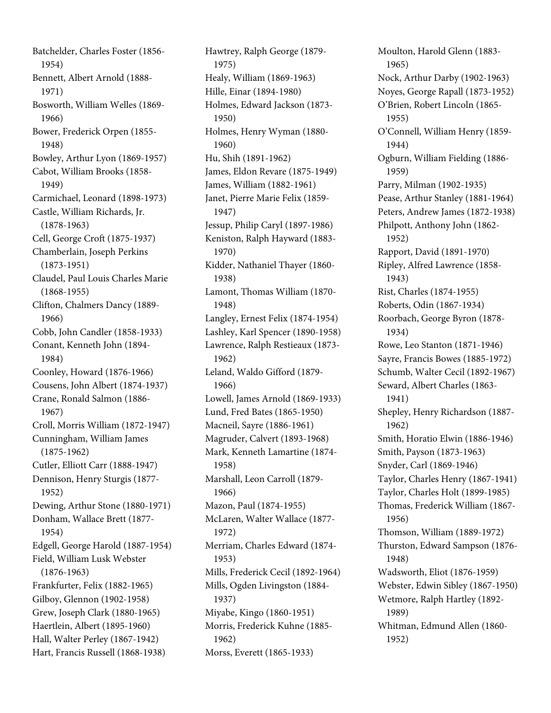Batchelder, Charles Foster (1856- 1954) Bennett, Albert Arnold (1888- 1971) Bosworth, William Welles (1869- 1966) Bower, Frederick Orpen (1855- 1948) Bowley, Arthur Lyon (1869-1957) Cabot, William Brooks (1858- 1949) Carmichael, Leonard (1898-1973) Castle, William Richards, Jr. (1878-1963) Cell, George Croft (1875-1937) Chamberlain, Joseph Perkins (1873-1951) Claudel, Paul Louis Charles Marie (1868-1955) Clifton, Chalmers Dancy (1889- 1966) Cobb, John Candler (1858-1933) Conant, Kenneth John (1894- 1984) Coonley, Howard (1876-1966) Cousens, John Albert (1874-1937) Crane, Ronald Salmon (1886- 1967) Croll, Morris William (1872-1947) Cunningham, William James (1875-1962) Cutler, Elliott Carr (1888-1947) Dennison, Henry Sturgis (1877- 1952) Dewing, Arthur Stone (1880-1971) Donham, Wallace Brett (1877- 1954) Edgell, George Harold (1887-1954) Field, William Lusk Webster (1876-1963) Frankfurter, Felix (1882-1965) Gilboy, Glennon (1902-1958) Grew, Joseph Clark (1880-1965) Haertlein, Albert (1895-1960) Hall, Walter Perley (1867-1942) Hart, Francis Russell (1868-1938)

Hawtrey, Ralph George (1879- 1975) Healy, William (1869-1963) Hille, Einar (1894-1980) Holmes, Edward Jackson (1873- 1950) Holmes, Henry Wyman (1880- 1960) Hu, Shih (1891-1962) James, Eldon Revare (1875-1949) James, William (1882-1961) Janet, Pierre Marie Felix (1859- 1947) Jessup, Philip Caryl (1897-1986) Keniston, Ralph Hayward (1883- 1970) Kidder, Nathaniel Thayer (1860- 1938) Lamont, Thomas William (1870- 1948) Langley, Ernest Felix (1874-1954) Lashley, Karl Spencer (1890-1958) Lawrence, Ralph Restieaux (1873- 1962) Leland, Waldo Gifford (1879- 1966) Lowell, James Arnold (1869-1933) Lund, Fred Bates (1865-1950) Macneil, Sayre (1886-1961) Magruder, Calvert (1893-1968) Mark, Kenneth Lamartine (1874- 1958) Marshall, Leon Carroll (1879- 1966) Mazon, Paul (1874-1955) McLaren, Walter Wallace (1877- 1972) Merriam, Charles Edward (1874- 1953) Mills, Frederick Cecil (1892-1964) Mills, Ogden Livingston (1884- 1937) Miyabe, Kingo (1860-1951) Morris, Frederick Kuhne (1885- 1962) Morss, Everett (1865-1933)

Moulton, Harold Glenn (1883- 1965) Nock, Arthur Darby (1902-1963) Noyes, George Rapall (1873-1952) O'Brien, Robert Lincoln (1865- 1955) O'Connell, William Henry (1859- 1944) Ogburn, William Fielding (1886- 1959) Parry, Milman (1902-1935) Pease, Arthur Stanley (1881-1964) Peters, Andrew James (1872-1938) Philpott, Anthony John (1862- 1952) Rapport, David (1891-1970) Ripley, Alfred Lawrence (1858- 1943) Rist, Charles (1874-1955) Roberts, Odin (1867-1934) Roorbach, George Byron (1878- 1934) Rowe, Leo Stanton (1871-1946) Sayre, Francis Bowes (1885-1972) Schumb, Walter Cecil (1892-1967) Seward, Albert Charles (1863- 1941) Shepley, Henry Richardson (1887- 1962) Smith, Horatio Elwin (1886-1946) Smith, Payson (1873-1963) Snyder, Carl (1869-1946) Taylor, Charles Henry (1867-1941) Taylor, Charles Holt (1899-1985) Thomas, Frederick William (1867- 1956) Thomson, William (1889-1972) Thurston, Edward Sampson (1876- 1948) Wadsworth, Eliot (1876-1959) Webster, Edwin Sibley (1867-1950) Wetmore, Ralph Hartley (1892- 1989) Whitman, Edmund Allen (1860- 1952)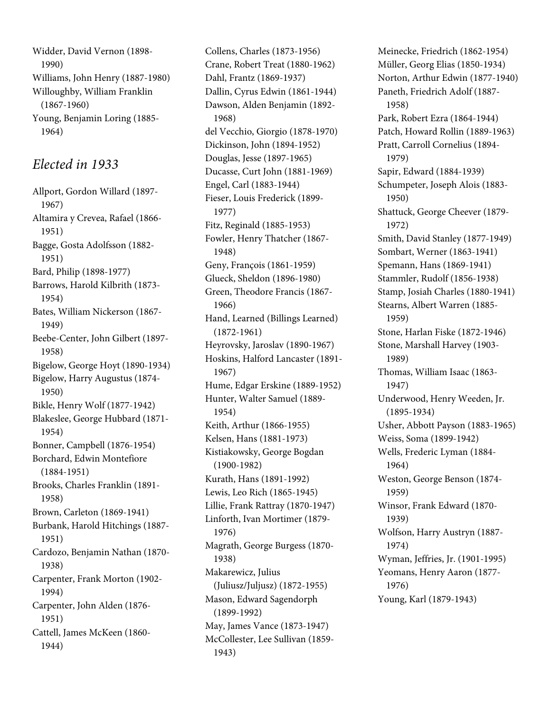Widder, David Vernon (1898- 1990) Williams, John Henry (1887-1980) Willoughby, William Franklin (1867-1960) Young, Benjamin Loring (1885- 1964)

## Elected in 1933

Allport, Gordon Willard (1897- 1967) Altamira y Crevea, Rafael (1866- 1951) Bagge, Gosta Adolfsson (1882- 1951) Bard, Philip (1898-1977) Barrows, Harold Kilbrith (1873- 1954) Bates, William Nickerson (1867- 1949) Beebe-Center, John Gilbert (1897- 1958) Bigelow, George Hoyt (1890-1934) Bigelow, Harry Augustus (1874- 1950) Bikle, Henry Wolf (1877-1942) Blakeslee, George Hubbard (1871- 1954) Bonner, Campbell (1876-1954) Borchard, Edwin Montefiore (1884-1951) Brooks, Charles Franklin (1891- 1958) Brown, Carleton (1869-1941) Burbank, Harold Hitchings (1887- 1951) Cardozo, Benjamin Nathan (1870- 1938) Carpenter, Frank Morton (1902- 1994) Carpenter, John Alden (1876- 1951) Cattell, James McKeen (1860- 1944)

Collens, Charles (1873-1956) Crane, Robert Treat (1880-1962) Dahl, Frantz (1869-1937) Dallin, Cyrus Edwin (1861-1944) Dawson, Alden Benjamin (1892- 1968) del Vecchio, Giorgio (1878-1970) Dickinson, John (1894-1952) Douglas, Jesse (1897-1965) Ducasse, Curt John (1881-1969) Engel, Carl (1883-1944) Fieser, Louis Frederick (1899- 1977) Fitz, Reginald (1885-1953) Fowler, Henry Thatcher (1867- 1948) Geny, François (1861-1959) Glueck, Sheldon (1896-1980) Green, Theodore Francis (1867- 1966) Hand, Learned (Billings Learned) (1872-1961) Heyrovsky, Jaroslav (1890-1967) Hoskins, Halford Lancaster (1891- 1967) Hume, Edgar Erskine (1889-1952) Hunter, Walter Samuel (1889- 1954) Keith, Arthur (1866-1955) Kelsen, Hans (1881-1973) Kistiakowsky, George Bogdan (1900-1982) Kurath, Hans (1891-1992) Lewis, Leo Rich (1865-1945) Lillie, Frank Rattray (1870-1947) Linforth, Ivan Mortimer (1879- 1976) Magrath, George Burgess (1870- 1938) Makarewicz, Julius (Juliusz/Juljusz) (1872-1955) Mason, Edward Sagendorph (1899-1992) May, James Vance (1873-1947) McCollester, Lee Sullivan (1859- 1943)

Meinecke, Friedrich (1862-1954) Müller, Georg Elias (1850-1934) Norton, Arthur Edwin (1877-1940) Paneth, Friedrich Adolf (1887- 1958) Park, Robert Ezra (1864-1944) Patch, Howard Rollin (1889-1963) Pratt, Carroll Cornelius (1894- 1979) Sapir, Edward (1884-1939) Schumpeter, Joseph Alois (1883- 1950) Shattuck, George Cheever (1879- 1972) Smith, David Stanley (1877-1949) Sombart, Werner (1863-1941) Spemann, Hans (1869-1941) Stammler, Rudolf (1856-1938) Stamp, Josiah Charles (1880-1941) Stearns, Albert Warren (1885- 1959) Stone, Harlan Fiske (1872-1946) Stone, Marshall Harvey (1903- 1989) Thomas, William Isaac (1863- 1947) Underwood, Henry Weeden, Jr. (1895-1934) Usher, Abbott Payson (1883-1965) Weiss, Soma (1899-1942) Wells, Frederic Lyman (1884- 1964) Weston, George Benson (1874- 1959) Winsor, Frank Edward (1870- 1939) Wolfson, Harry Austryn (1887- 1974) Wyman, Jeffries, Jr. (1901-1995) Yeomans, Henry Aaron (1877- 1976) Young, Karl (1879-1943)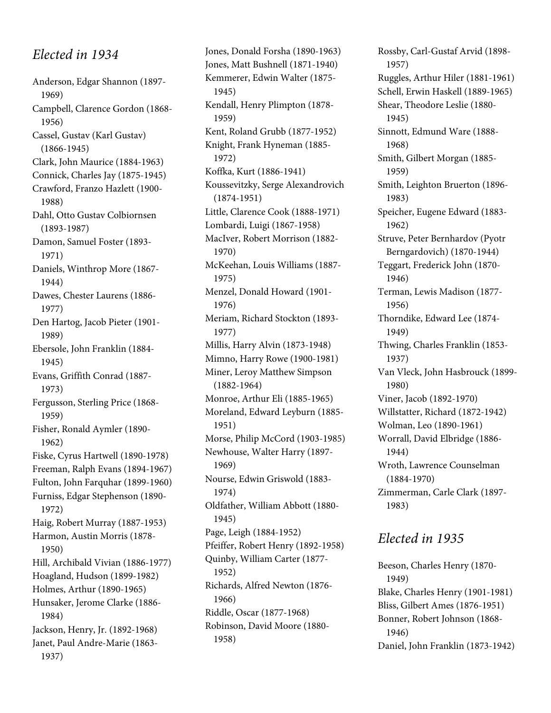# Elected in 1934

Anderson, Edgar Shannon (1897- 1969) Campbell, Clarence Gordon (1868- 1956) Cassel, Gustav (Karl Gustav) (1866-1945) Clark, John Maurice (1884-1963) Connick, Charles Jay (1875-1945) Crawford, Franzo Hazlett (1900- 1988) Dahl, Otto Gustav Colbiornsen (1893-1987) Damon, Samuel Foster (1893- 1971) Daniels, Winthrop More (1867- 1944) Dawes, Chester Laurens (1886- 1977) Den Hartog, Jacob Pieter (1901- 1989) Ebersole, John Franklin (1884- 1945) Evans, Griffith Conrad (1887- 1973) Fergusson, Sterling Price (1868- 1959) Fisher, Ronald Aymler (1890- 1962) Fiske, Cyrus Hartwell (1890-1978) Freeman, Ralph Evans (1894-1967) Fulton, John Farquhar (1899-1960) Furniss, Edgar Stephenson (1890- 1972) Haig, Robert Murray (1887-1953) Harmon, Austin Morris (1878- 1950) Hill, Archibald Vivian (1886-1977) Hoagland, Hudson (1899-1982) Holmes, Arthur (1890-1965) Hunsaker, Jerome Clarke (1886- 1984) Jackson, Henry, Jr. (1892-1968) Janet, Paul Andre-Marie (1863- 1937)

Jones, Donald Forsha (1890-1963) Jones, Matt Bushnell (1871-1940) Kemmerer, Edwin Walter (1875- 1945) Kendall, Henry Plimpton (1878- 1959) Kent, Roland Grubb (1877-1952) Knight, Frank Hyneman (1885- 1972) Koffka, Kurt (1886-1941) Koussevitzky, Serge Alexandrovich (1874-1951) Little, Clarence Cook (1888-1971) Lombardi, Luigi (1867-1958) MacIver, Robert Morrison (1882- 1970) McKeehan, Louis Williams (1887- 1975) Menzel, Donald Howard (1901- 1976) Meriam, Richard Stockton (1893- 1977) Millis, Harry Alvin (1873-1948) Mimno, Harry Rowe (1900-1981) Miner, Leroy Matthew Simpson (1882-1964) Monroe, Arthur Eli (1885-1965) Moreland, Edward Leyburn (1885- 1951) Morse, Philip McCord (1903-1985) Newhouse, Walter Harry (1897- 1969) Nourse, Edwin Griswold (1883- 1974) Oldfather, William Abbott (1880- 1945) Page, Leigh (1884-1952) Pfeiffer, Robert Henry (1892-1958) Quinby, William Carter (1877- 1952) Richards, Alfred Newton (1876- 1966) Riddle, Oscar (1877-1968) Robinson, David Moore (1880- 1958)

Rossby, Carl-Gustaf Arvid (1898- 1957) Ruggles, Arthur Hiler (1881-1961) Schell, Erwin Haskell (1889-1965) Shear, Theodore Leslie (1880- 1945) Sinnott, Edmund Ware (1888- 1968) Smith, Gilbert Morgan (1885- 1959) Smith, Leighton Bruerton (1896- 1983) Speicher, Eugene Edward (1883- 1962) Struve, Peter Bernhardov (Pyotr Berngardovich) (1870-1944) Teggart, Frederick John (1870- 1946) Terman, Lewis Madison (1877- 1956) Thorndike, Edward Lee (1874- 1949) Thwing, Charles Franklin (1853- 1937) Van Vleck, John Hasbrouck (1899- 1980) Viner, Jacob (1892-1970) Willstatter, Richard (1872-1942) Wolman, Leo (1890-1961) Worrall, David Elbridge (1886- 1944) Wroth, Lawrence Counselman (1884-1970) Zimmerman, Carle Clark (1897- 1983)

## Elected in 1935

Beeson, Charles Henry (1870- 1949) Blake, Charles Henry (1901-1981) Bliss, Gilbert Ames (1876-1951) Bonner, Robert Johnson (1868- 1946) Daniel, John Franklin (1873-1942)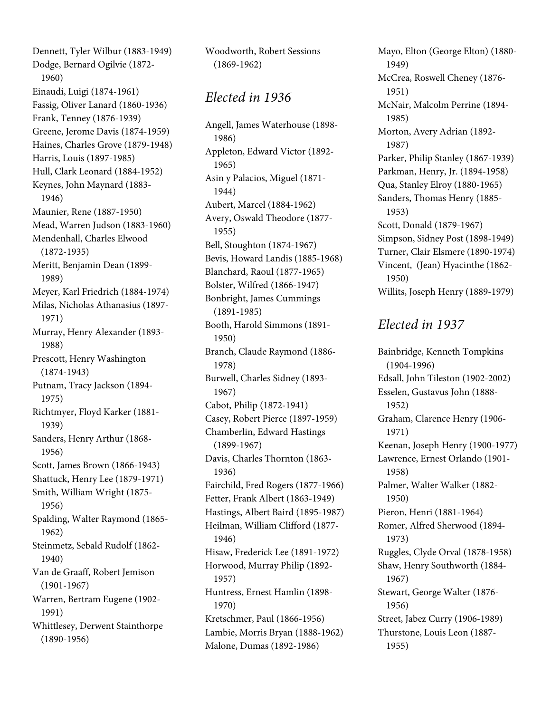Dennett, Tyler Wilbur (1883-1949) Dodge, Bernard Ogilvie (1872- 1960) Einaudi, Luigi (1874-1961) Fassig, Oliver Lanard (1860-1936) Frank, Tenney (1876-1939) Greene, Jerome Davis (1874-1959) Haines, Charles Grove (1879-1948) Harris, Louis (1897-1985) Hull, Clark Leonard (1884-1952) Keynes, John Maynard (1883- 1946) Maunier, Rene (1887-1950) Mead, Warren Judson (1883-1960) Mendenhall, Charles Elwood (1872-1935) Meritt, Benjamin Dean (1899- 1989) Meyer, Karl Friedrich (1884-1974) Milas, Nicholas Athanasius (1897- 1971) Murray, Henry Alexander (1893- 1988) Prescott, Henry Washington (1874-1943) Putnam, Tracy Jackson (1894- 1975) Richtmyer, Floyd Karker (1881- 1939) Sanders, Henry Arthur (1868- 1956) Scott, James Brown (1866-1943) Shattuck, Henry Lee (1879-1971) Smith, William Wright (1875- 1956) Spalding, Walter Raymond (1865- 1962) Steinmetz, Sebald Rudolf (1862- 1940) Van de Graaff, Robert Jemison (1901-1967) Warren, Bertram Eugene (1902- 1991) Whittlesey, Derwent Stainthorpe (1890-1956)

Woodworth, Robert Sessions (1869-1962)

#### Elected in 1936

Angell, James Waterhouse (1898- 1986) Appleton, Edward Victor (1892- 1965) Asin y Palacios, Miguel (1871- 1944) Aubert, Marcel (1884-1962) Avery, Oswald Theodore (1877- 1955) Bell, Stoughton (1874-1967) Bevis, Howard Landis (1885-1968) Blanchard, Raoul (1877-1965) Bolster, Wilfred (1866-1947) Bonbright, James Cummings (1891-1985) Booth, Harold Simmons (1891- 1950) Branch, Claude Raymond (1886- 1978) Burwell, Charles Sidney (1893- 1967) Cabot, Philip (1872-1941) Casey, Robert Pierce (1897-1959) Chamberlin, Edward Hastings (1899-1967) Davis, Charles Thornton (1863- 1936) Fairchild, Fred Rogers (1877-1966) Fetter, Frank Albert (1863-1949) Hastings, Albert Baird (1895-1987) Heilman, William Clifford (1877- 1946) Hisaw, Frederick Lee (1891-1972) Horwood, Murray Philip (1892- 1957) Huntress, Ernest Hamlin (1898- 1970) Kretschmer, Paul (1866-1956) Lambie, Morris Bryan (1888-1962) Malone, Dumas (1892-1986)

Mayo, Elton (George Elton) (1880- 1949) McCrea, Roswell Cheney (1876- 1951) McNair, Malcolm Perrine (1894- 1985) Morton, Avery Adrian (1892- 1987) Parker, Philip Stanley (1867-1939) Parkman, Henry, Jr. (1894-1958) Qua, Stanley Elroy (1880-1965) Sanders, Thomas Henry (1885- 1953) Scott, Donald (1879-1967) Simpson, Sidney Post (1898-1949) Turner, Clair Elsmere (1890-1974) Vincent, (Jean) Hyacinthe (1862- 1950) Willits, Joseph Henry (1889-1979)

#### Elected in 1937

Bainbridge, Kenneth Tompkins (1904-1996) Edsall, John Tileston (1902-2002) Esselen, Gustavus John (1888- 1952) Graham, Clarence Henry (1906- 1971) Keenan, Joseph Henry (1900-1977) Lawrence, Ernest Orlando (1901- 1958) Palmer, Walter Walker (1882- 1950) Pieron, Henri (1881-1964) Romer, Alfred Sherwood (1894- 1973) Ruggles, Clyde Orval (1878-1958) Shaw, Henry Southworth (1884- 1967) Stewart, George Walter (1876- 1956) Street, Jabez Curry (1906-1989) Thurstone, Louis Leon (1887- 1955)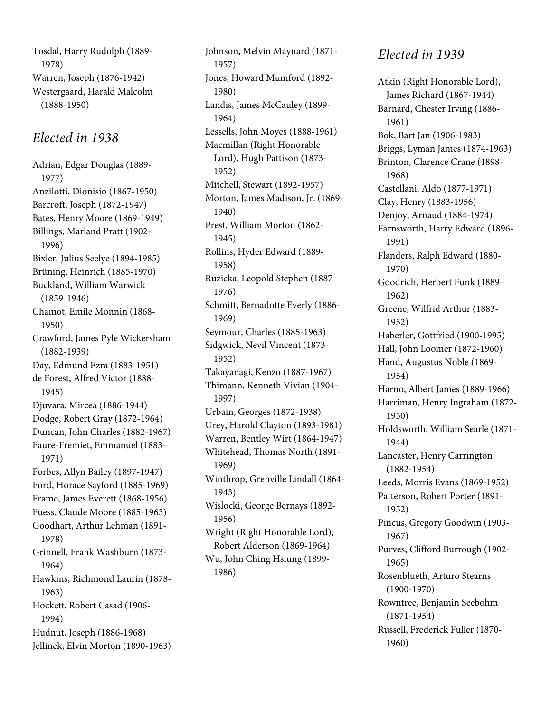Tosdal, Harry Rudolph (1889- 1978) Warren, Joseph (1876-1942) Westergaard, Harald Malcolm (1888-1950)

### Elected in 1938

Adrian, Edgar Douglas (1889- 1977) Anzilotti, Dionisio (1867-1950) Barcroft, Joseph (1872-1947) Bates, Henry Moore (1869-1949) Billings, Marland Pratt (1902- 1996) Bixler, Julius Seelye (1894-1985) Brüning, Heinrich (1885-1970) Buckland, William Warwick (1859-1946) Chamot, Emile Monnin (1868- 1950) Crawford, James Pyle Wickersham (1882-1939) Day, Edmund Ezra (1883-1951) de Forest, Alfred Victor (1888- 1945) Djuvara, Mircea (1886-1944) Dodge, Robert Gray (1872-1964) Duncan, John Charles (1882-1967) Faure-Fremiet, Emmanuel (1883- 1971) Forbes, Allyn Bailey (1897-1947) Ford, Horace Sayford (1885-1969) Frame, James Everett (1868-1956) Fuess, Claude Moore (1885-1963) Goodhart, Arthur Lehman (1891- 1978) Grinnell, Frank Washburn (1873- 1964) Hawkins, Richmond Laurin (1878- 1963) Hockett, Robert Casad (1906- 1994) Hudnut, Joseph (1886-1968) Jellinek, Elvin Morton (1890-1963) Johnson, Melvin Maynard (1871- 1957) Jones, Howard Mumford (1892- 1980) Landis, James McCauley (1899- 1964) Lessells, John Moyes (1888-1961) Macmillan (Right Honorable Lord), Hugh Pattison (1873- 1952) Mitchell, Stewart (1892-1957) Morton, James Madison, Jr. (1869- 1940) Prest, William Morton (1862- 1945) Rollins, Hyder Edward (1889- 1958) Ruzicka, Leopold Stephen (1887- 1976) Schmitt, Bernadotte Everly (1886- 1969) Seymour, Charles (1885-1963) Sidgwick, Nevil Vincent (1873- 1952) Takayanagi, Kenzo (1887-1967) Thimann, Kenneth Vivian (1904- 1997) Urbain, Georges (1872-1938) Urey, Harold Clayton (1893-1981) Warren, Bentley Wirt (1864-1947) Whitehead, Thomas North (1891- 1969) Winthrop, Grenville Lindall (1864- 1943) Wislocki, George Bernays (1892- 1956) Wright (Right Honorable Lord), Robert Alderson (1869-1964) Wu, John Ching Hsiung (1899- 1986)

## Elected in 1939

Atkin (Right Honorable Lord), James Richard (1867-1944) Barnard, Chester Irving (1886- 1961) Bok, Bart Jan (1906-1983) Briggs, Lyman James (1874-1963) Brinton, Clarence Crane (1898- 1968) Castellani, Aldo (1877-1971) Clay, Henry (1883-1956) Denjoy, Arnaud (1884-1974) Farnsworth, Harry Edward (1896- 1991) Flanders, Ralph Edward (1880- 1970) Goodrich, Herbert Funk (1889- 1962) Greene, Wilfrid Arthur (1883- 1952) Haberler, Gottfried (1900-1995) Hall, John Loomer (1872-1960) Hand, Augustus Noble (1869- 1954) Harno, Albert James (1889-1966) Harriman, Henry Ingraham (1872- 1950) Holdsworth, William Searle (1871- 1944) Lancaster, Henry Carrington (1882-1954) Leeds, Morris Evans (1869-1952) Patterson, Robert Porter (1891- 1952) Pincus, Gregory Goodwin (1903- 1967) Purves, Clifford Burrough (1902- 1965) Rosenblueth, Arturo Stearns (1900-1970) Rowntree, Benjamin Seebohm (1871-1954) Russell, Frederick Fuller (1870- 1960)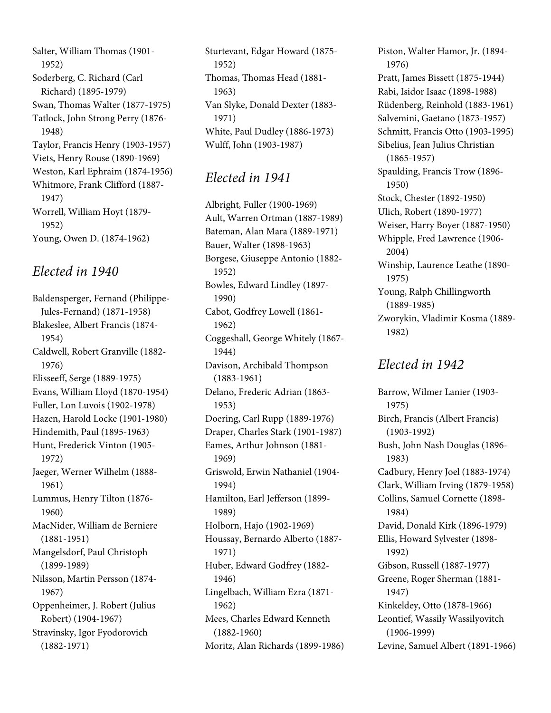Salter, William Thomas (1901- 1952) Soderberg, C. Richard (Carl Richard) (1895-1979) Swan, Thomas Walter (1877-1975) Tatlock, John Strong Perry (1876- 1948) Taylor, Francis Henry (1903-1957) Viets, Henry Rouse (1890-1969) Weston, Karl Ephraim (1874-1956) Whitmore, Frank Clifford (1887- 1947) Worrell, William Hoyt (1879- 1952) Young, Owen D. (1874-1962)

#### Elected in 1940

Baldensperger, Fernand (Philippe-Jules-Fernand) (1871-1958) Blakeslee, Albert Francis (1874- 1954) Caldwell, Robert Granville (1882- 1976) Elisseeff, Serge (1889-1975) Evans, William Lloyd (1870-1954) Fuller, Lon Luvois (1902-1978) Hazen, Harold Locke (1901-1980) Hindemith, Paul (1895-1963) Hunt, Frederick Vinton (1905- 1972) Jaeger, Werner Wilhelm (1888- 1961) Lummus, Henry Tilton (1876- 1960) MacNider, William de Berniere (1881-1951) Mangelsdorf, Paul Christoph (1899-1989) Nilsson, Martin Persson (1874- 1967) Oppenheimer, J. Robert (Julius Robert) (1904-1967) Stravinsky, Igor Fyodorovich (1882-1971)

Sturtevant, Edgar Howard (1875- 1952) Thomas, Thomas Head (1881- 1963) Van Slyke, Donald Dexter (1883- 1971) White, Paul Dudley (1886-1973) Wulff, John (1903-1987)

# Elected in 1941

Albright, Fuller (1900-1969) Ault, Warren Ortman (1887-1989) Bateman, Alan Mara (1889-1971) Bauer, Walter (1898-1963) Borgese, Giuseppe Antonio (1882- 1952) Bowles, Edward Lindley (1897- 1990) Cabot, Godfrey Lowell (1861- 1962) Coggeshall, George Whitely (1867- 1944) Davison, Archibald Thompson (1883-1961) Delano, Frederic Adrian (1863- 1953) Doering, Carl Rupp (1889-1976) Draper, Charles Stark (1901-1987) Eames, Arthur Johnson (1881- 1969) Griswold, Erwin Nathaniel (1904- 1994) Hamilton, Earl Jefferson (1899- 1989) Holborn, Hajo (1902-1969) Houssay, Bernardo Alberto (1887- 1971) Huber, Edward Godfrey (1882- 1946) Lingelbach, William Ezra (1871- 1962) Mees, Charles Edward Kenneth (1882-1960) Moritz, Alan Richards (1899-1986) Piston, Walter Hamor, Jr. (1894- 1976) Pratt, James Bissett (1875-1944) Rabi, Isidor Isaac (1898-1988) Rüdenberg, Reinhold (1883-1961) Salvemini, Gaetano (1873-1957) Schmitt, Francis Otto (1903-1995) Sibelius, Jean Julius Christian (1865-1957) Spaulding, Francis Trow (1896- 1950) Stock, Chester (1892-1950) Ulich, Robert (1890-1977) Weiser, Harry Boyer (1887-1950) Whipple, Fred Lawrence (1906- 2004) Winship, Laurence Leathe (1890- 1975) Young, Ralph Chillingworth (1889-1985) Zworykin, Vladimir Kosma (1889- 1982)

## Elected in 1942

Barrow, Wilmer Lanier (1903- 1975) Birch, Francis (Albert Francis) (1903-1992) Bush, John Nash Douglas (1896- 1983) Cadbury, Henry Joel (1883-1974) Clark, William Irving (1879-1958) Collins, Samuel Cornette (1898- 1984) David, Donald Kirk (1896-1979) Ellis, Howard Sylvester (1898- 1992) Gibson, Russell (1887-1977) Greene, Roger Sherman (1881- 1947) Kinkeldey, Otto (1878-1966) Leontief, Wassily Wassilyovitch (1906-1999) Levine, Samuel Albert (1891-1966)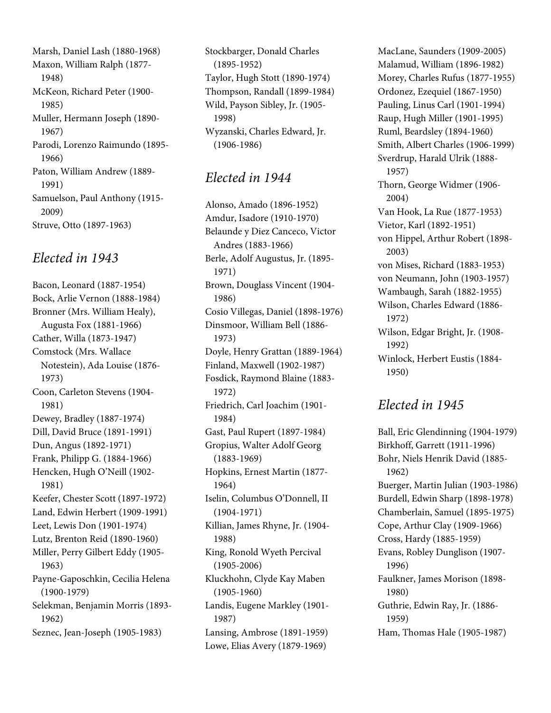Marsh, Daniel Lash (1880-1968) Maxon, William Ralph (1877- 1948) McKeon, Richard Peter (1900- 1985) Muller, Hermann Joseph (1890- 1967) Parodi, Lorenzo Raimundo (1895- 1966) Paton, William Andrew (1889- 1991) Samuelson, Paul Anthony (1915- 2009) Struve, Otto (1897-1963)

#### Elected in 1943

Bacon, Leonard (1887-1954) Bock, Arlie Vernon (1888-1984) Bronner (Mrs. William Healy), Augusta Fox (1881-1966) Cather, Willa (1873-1947) Comstock (Mrs. Wallace Notestein), Ada Louise (1876- 1973) Coon, Carleton Stevens (1904- 1981) Dewey, Bradley (1887-1974) Dill, David Bruce (1891-1991) Dun, Angus (1892-1971) Frank, Philipp G. (1884-1966) Hencken, Hugh O'Neill (1902- 1981) Keefer, Chester Scott (1897-1972) Land, Edwin Herbert (1909-1991) Leet, Lewis Don (1901-1974) Lutz, Brenton Reid (1890-1960) Miller, Perry Gilbert Eddy (1905- 1963) Payne-Gaposchkin, Cecilia Helena (1900-1979) Selekman, Benjamin Morris (1893- 1962) Seznec, Jean-Joseph (1905-1983)

Stockbarger, Donald Charles (1895-1952) Taylor, Hugh Stott (1890-1974) Thompson, Randall (1899-1984) Wild, Payson Sibley, Jr. (1905- 1998) Wyzanski, Charles Edward, Jr. (1906-1986)

## Elected in 1944

Alonso, Amado (1896-1952) Amdur, Isadore (1910-1970) Belaunde y Diez Canceco, Victor Andres (1883-1966) Berle, Adolf Augustus, Jr. (1895- 1971) Brown, Douglass Vincent (1904- 1986) Cosio Villegas, Daniel (1898-1976) Dinsmoor, William Bell (1886- 1973) Doyle, Henry Grattan (1889-1964) Finland, Maxwell (1902-1987) Fosdick, Raymond Blaine (1883- 1972) Friedrich, Carl Joachim (1901- 1984) Gast, Paul Rupert (1897-1984) Gropius, Walter Adolf Georg (1883-1969) Hopkins, Ernest Martin (1877- 1964) Iselin, Columbus O'Donnell, II (1904-1971) Killian, James Rhyne, Jr. (1904- 1988) King, Ronold Wyeth Percival (1905-2006) Kluckhohn, Clyde Kay Maben (1905-1960) Landis, Eugene Markley (1901- 1987) Lansing, Ambrose (1891-1959) Lowe, Elias Avery (1879-1969)

MacLane, Saunders (1909-2005) Malamud, William (1896-1982) Morey, Charles Rufus (1877-1955) Ordonez, Ezequiel (1867-1950) Pauling, Linus Carl (1901-1994) Raup, Hugh Miller (1901-1995) Ruml, Beardsley (1894-1960) Smith, Albert Charles (1906-1999) Sverdrup, Harald Ulrik (1888- 1957) Thorn, George Widmer (1906- 2004) Van Hook, La Rue (1877-1953) Vietor, Karl (1892-1951) von Hippel, Arthur Robert (1898- 2003) von Mises, Richard (1883-1953) von Neumann, John (1903-1957) Wambaugh, Sarah (1882-1955) Wilson, Charles Edward (1886- 1972) Wilson, Edgar Bright, Jr. (1908- 1992) Winlock, Herbert Eustis (1884- 1950)

## Elected in 1945

Ball, Eric Glendinning (1904-1979) Birkhoff, Garrett (1911-1996) Bohr, Niels Henrik David (1885- 1962) Buerger, Martin Julian (1903-1986) Burdell, Edwin Sharp (1898-1978) Chamberlain, Samuel (1895-1975) Cope, Arthur Clay (1909-1966) Cross, Hardy (1885-1959) Evans, Robley Dunglison (1907- 1996) Faulkner, James Morison (1898- 1980) Guthrie, Edwin Ray, Jr. (1886- 1959) Ham, Thomas Hale (1905-1987)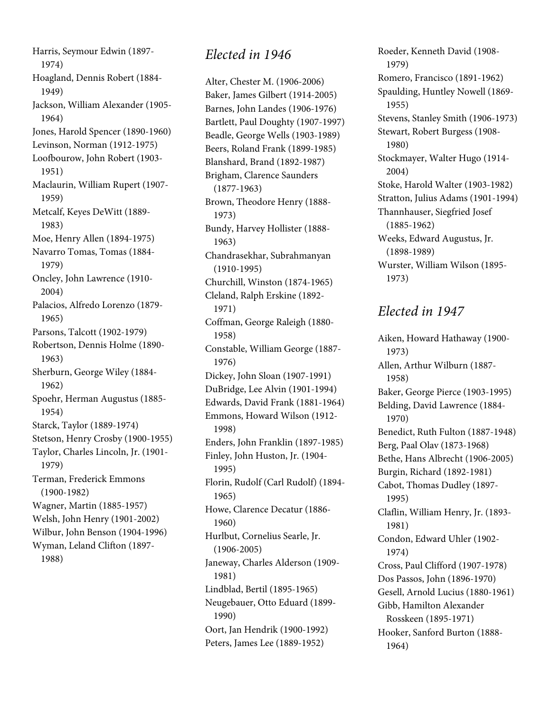Harris, Seymour Edwin (1897- 1974) Hoagland, Dennis Robert (1884- 1949) Jackson, William Alexander (1905- 1964) Jones, Harold Spencer (1890-1960) Levinson, Norman (1912-1975) Loofbourow, John Robert (1903- 1951) Maclaurin, William Rupert (1907- 1959) Metcalf, Keyes DeWitt (1889- 1983) Moe, Henry Allen (1894-1975) Navarro Tomas, Tomas (1884- 1979) Oncley, John Lawrence (1910- 2004) Palacios, Alfredo Lorenzo (1879- 1965) Parsons, Talcott (1902-1979) Robertson, Dennis Holme (1890- 1963) Sherburn, George Wiley (1884- 1962) Spoehr, Herman Augustus (1885- 1954) Starck, Taylor (1889-1974) Stetson, Henry Crosby (1900-1955) Taylor, Charles Lincoln, Jr. (1901- 1979) Terman, Frederick Emmons (1900-1982) Wagner, Martin (1885-1957) Welsh, John Henry (1901-2002) Wilbur, John Benson (1904-1996) Wyman, Leland Clifton (1897- 1988)

#### Elected in 1946

Alter, Chester M. (1906-2006) Baker, James Gilbert (1914-2005) Barnes, John Landes (1906-1976) Bartlett, Paul Doughty (1907-1997) Beadle, George Wells (1903-1989) Beers, Roland Frank (1899-1985) Blanshard, Brand (1892-1987) Brigham, Clarence Saunders (1877-1963) Brown, Theodore Henry (1888- 1973) Bundy, Harvey Hollister (1888- 1963) Chandrasekhar, Subrahmanyan (1910-1995) Churchill, Winston (1874-1965) Cleland, Ralph Erskine (1892- 1971) Coffman, George Raleigh (1880- 1958) Constable, William George (1887- 1976) Dickey, John Sloan (1907-1991) DuBridge, Lee Alvin (1901-1994) Edwards, David Frank (1881-1964) Emmons, Howard Wilson (1912- 1998) Enders, John Franklin (1897-1985) Finley, John Huston, Jr. (1904- 1995) Florin, Rudolf (Carl Rudolf) (1894- 1965) Howe, Clarence Decatur (1886- 1960) Hurlbut, Cornelius Searle, Jr. (1906-2005) Janeway, Charles Alderson (1909- 1981) Lindblad, Bertil (1895-1965) Neugebauer, Otto Eduard (1899- 1990) Oort, Jan Hendrik (1900-1992) Peters, James Lee (1889-1952)

Roeder, Kenneth David (1908- 1979) Romero, Francisco (1891-1962) Spaulding, Huntley Nowell (1869- 1955) Stevens, Stanley Smith (1906-1973) Stewart, Robert Burgess (1908- 1980) Stockmayer, Walter Hugo (1914- 2004) Stoke, Harold Walter (1903-1982) Stratton, Julius Adams (1901-1994) Thannhauser, Siegfried Josef (1885-1962) Weeks, Edward Augustus, Jr. (1898-1989) Wurster, William Wilson (1895- 1973)

## Elected in 1947

Aiken, Howard Hathaway (1900- 1973) Allen, Arthur Wilburn (1887- 1958) Baker, George Pierce (1903-1995) Belding, David Lawrence (1884- 1970) Benedict, Ruth Fulton (1887-1948) Berg, Paal Olav (1873-1968) Bethe, Hans Albrecht (1906-2005) Burgin, Richard (1892-1981) Cabot, Thomas Dudley (1897- 1995) Claflin, William Henry, Jr. (1893- 1981) Condon, Edward Uhler (1902- 1974) Cross, Paul Clifford (1907-1978) Dos Passos, John (1896-1970) Gesell, Arnold Lucius (1880-1961) Gibb, Hamilton Alexander Rosskeen (1895-1971) Hooker, Sanford Burton (1888- 1964)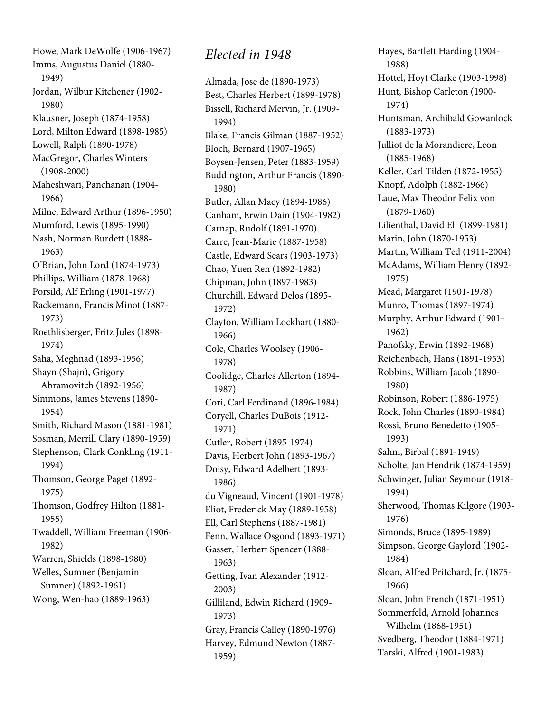Howe, Mark DeWolfe (1906-1967) Imms, Augustus Daniel (1880- 1949) Jordan, Wilbur Kitchener (1902- 1980) Klausner, Joseph (1874-1958) Lord, Milton Edward (1898-1985) Lowell, Ralph (1890-1978) MacGregor, Charles Winters (1908-2000) Maheshwari, Panchanan (1904- 1966) Milne, Edward Arthur (1896-1950) Mumford, Lewis (1895-1990) Nash, Norman Burdett (1888- 1963) O'Brian, John Lord (1874-1973) Phillips, William (1878-1968) Porsild, Alf Erling (1901-1977) Rackemann, Francis Minot (1887- 1973) Roethlisberger, Fritz Jules (1898- 1974) Saha, Meghnad (1893-1956) Shayn (Shajn), Grigory Abramovitch (1892-1956) Simmons, James Stevens (1890- 1954) Smith, Richard Mason (1881-1981) Sosman, Merrill Clary (1890-1959) Stephenson, Clark Conkling (1911- 1994) Thomson, George Paget (1892- 1975) Thomson, Godfrey Hilton (1881- 1955) Twaddell, William Freeman (1906- 1982) Warren, Shields (1898-1980) Welles, Sumner (Benjamin Sumner) (1892-1961) Wong, Wen-hao (1889-1963)

## Elected in 1948

Almada, Jose de (1890-1973) Best, Charles Herbert (1899-1978) Bissell, Richard Mervin, Jr. (1909- 1994) Blake, Francis Gilman (1887-1952) Bloch, Bernard (1907-1965) Boysen-Jensen, Peter (1883-1959) Buddington, Arthur Francis (1890- 1980) Butler, Allan Macy (1894-1986) Canham, Erwin Dain (1904-1982) Carnap, Rudolf (1891-1970) Carre, Jean-Marie (1887-1958) Castle, Edward Sears (1903-1973) Chao, Yuen Ren (1892-1982) Chipman, John (1897-1983) Churchill, Edward Delos (1895- 1972) Clayton, William Lockhart (1880- 1966) Cole, Charles Woolsey (1906- 1978) Coolidge, Charles Allerton (1894- 1987) Cori, Carl Ferdinand (1896-1984) Coryell, Charles DuBois (1912- 1971) Cutler, Robert (1895-1974) Davis, Herbert John (1893-1967) Doisy, Edward Adelbert (1893- 1986) du Vigneaud, Vincent (1901-1978) Eliot, Frederick May (1889-1958) Ell, Carl Stephens (1887-1981) Fenn, Wallace Osgood (1893-1971) Gasser, Herbert Spencer (1888- 1963) Getting, Ivan Alexander (1912- 2003) Gilliland, Edwin Richard (1909- 1973) Gray, Francis Calley (1890-1976) Harvey, Edmund Newton (1887- 1959)

Hayes, Bartlett Harding (1904- 1988) Hottel, Hoyt Clarke (1903-1998) Hunt, Bishop Carleton (1900- 1974) Huntsman, Archibald Gowanlock (1883-1973) Julliot de la Morandiere, Leon (1885-1968) Keller, Carl Tilden (1872-1955) Knopf, Adolph (1882-1966) Laue, Max Theodor Felix von (1879-1960) Lilienthal, David Eli (1899-1981) Marin, John (1870-1953) Martin, William Ted (1911-2004) McAdams, William Henry (1892- 1975) Mead, Margaret (1901-1978) Munro, Thomas (1897-1974) Murphy, Arthur Edward (1901- 1962) Panofsky, Erwin (1892-1968) Reichenbach, Hans (1891-1953) Robbins, William Jacob (1890- 1980) Robinson, Robert (1886-1975) Rock, John Charles (1890-1984) Rossi, Bruno Benedetto (1905- 1993) Sahni, Birbal (1891-1949) Scholte, Jan Hendrik (1874-1959) Schwinger, Julian Seymour (1918- 1994) Sherwood, Thomas Kilgore (1903- 1976) Simonds, Bruce (1895-1989) Simpson, George Gaylord (1902- 1984) Sloan, Alfred Pritchard, Jr. (1875- 1966) Sloan, John French (1871-1951) Sommerfeld, Arnold Johannes Wilhelm (1868-1951) Svedberg, Theodor (1884-1971) Tarski, Alfred (1901-1983)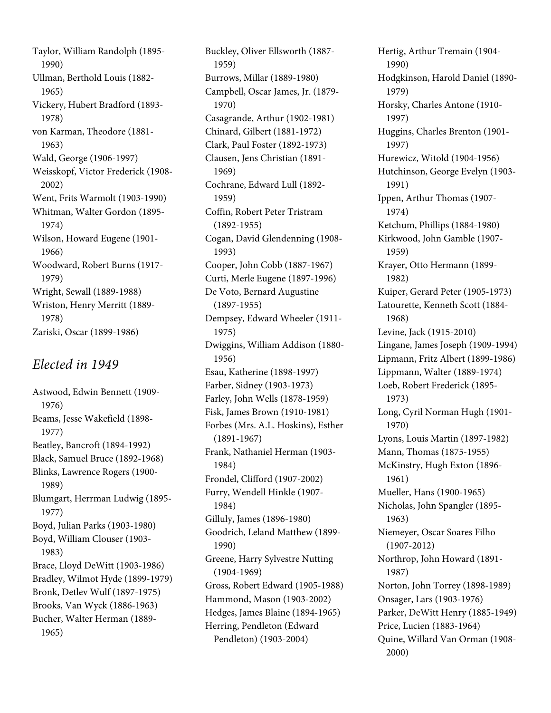Taylor, William Randolph (1895- 1990) Ullman, Berthold Louis (1882- 1965) Vickery, Hubert Bradford (1893- 1978) von Karman, Theodore (1881- 1963) Wald, George (1906-1997) Weisskopf, Victor Frederick (1908- 2002) Went, Frits Warmolt (1903-1990) Whitman, Walter Gordon (1895- 1974) Wilson, Howard Eugene (1901- 1966) Woodward, Robert Burns (1917- 1979) Wright, Sewall (1889-1988) Wriston, Henry Merritt (1889- 1978) Zariski, Oscar (1899-1986)

#### Elected in 1949

Astwood, Edwin Bennett (1909- 1976) Beams, Jesse Wakefield (1898- 1977) Beatley, Bancroft (1894-1992) Black, Samuel Bruce (1892-1968) Blinks, Lawrence Rogers (1900- 1989) Blumgart, Herrman Ludwig (1895- 1977) Boyd, Julian Parks (1903-1980) Boyd, William Clouser (1903- 1983) Brace, Lloyd DeWitt (1903-1986) Bradley, Wilmot Hyde (1899-1979) Bronk, Detlev Wulf (1897-1975) Brooks, Van Wyck (1886-1963) Bucher, Walter Herman (1889- 1965)

Buckley, Oliver Ellsworth (1887- 1959) Burrows, Millar (1889-1980) Campbell, Oscar James, Jr. (1879- 1970) Casagrande, Arthur (1902-1981) Chinard, Gilbert (1881-1972) Clark, Paul Foster (1892-1973) Clausen, Jens Christian (1891- 1969) Cochrane, Edward Lull (1892- 1959) Coffin, Robert Peter Tristram (1892-1955) Cogan, David Glendenning (1908- 1993) Cooper, John Cobb (1887-1967) Curti, Merle Eugene (1897-1996) De Voto, Bernard Augustine (1897-1955) Dempsey, Edward Wheeler (1911- 1975) Dwiggins, William Addison (1880- 1956) Esau, Katherine (1898-1997) Farber, Sidney (1903-1973) Farley, John Wells (1878-1959) Fisk, James Brown (1910-1981) Forbes (Mrs. A.L. Hoskins), Esther (1891-1967) Frank, Nathaniel Herman (1903- 1984) Frondel, Clifford (1907-2002) Furry, Wendell Hinkle (1907- 1984) Gilluly, James (1896-1980) Goodrich, Leland Matthew (1899- 1990) Greene, Harry Sylvestre Nutting (1904-1969) Gross, Robert Edward (1905-1988) Hammond, Mason (1903-2002) Hedges, James Blaine (1894-1965) Herring, Pendleton (Edward Pendleton) (1903-2004)

Hertig, Arthur Tremain (1904- 1990) Hodgkinson, Harold Daniel (1890- 1979) Horsky, Charles Antone (1910- 1997) Huggins, Charles Brenton (1901- 1997) Hurewicz, Witold (1904-1956) Hutchinson, George Evelyn (1903- 1991) Ippen, Arthur Thomas (1907- 1974) Ketchum, Phillips (1884-1980) Kirkwood, John Gamble (1907- 1959) Krayer, Otto Hermann (1899- 1982) Kuiper, Gerard Peter (1905-1973) Latourette, Kenneth Scott (1884- 1968) Levine, Jack (1915-2010) Lingane, James Joseph (1909-1994) Lipmann, Fritz Albert (1899-1986) Lippmann, Walter (1889-1974) Loeb, Robert Frederick (1895- 1973) Long, Cyril Norman Hugh (1901- 1970) Lyons, Louis Martin (1897-1982) Mann, Thomas (1875-1955) McKinstry, Hugh Exton (1896- 1961) Mueller, Hans (1900-1965) Nicholas, John Spangler (1895- 1963) Niemeyer, Oscar Soares Filho (1907-2012) Northrop, John Howard (1891- 1987) Norton, John Torrey (1898-1989) Onsager, Lars (1903-1976) Parker, DeWitt Henry (1885-1949) Price, Lucien (1883-1964) Quine, Willard Van Orman (1908- 2000)